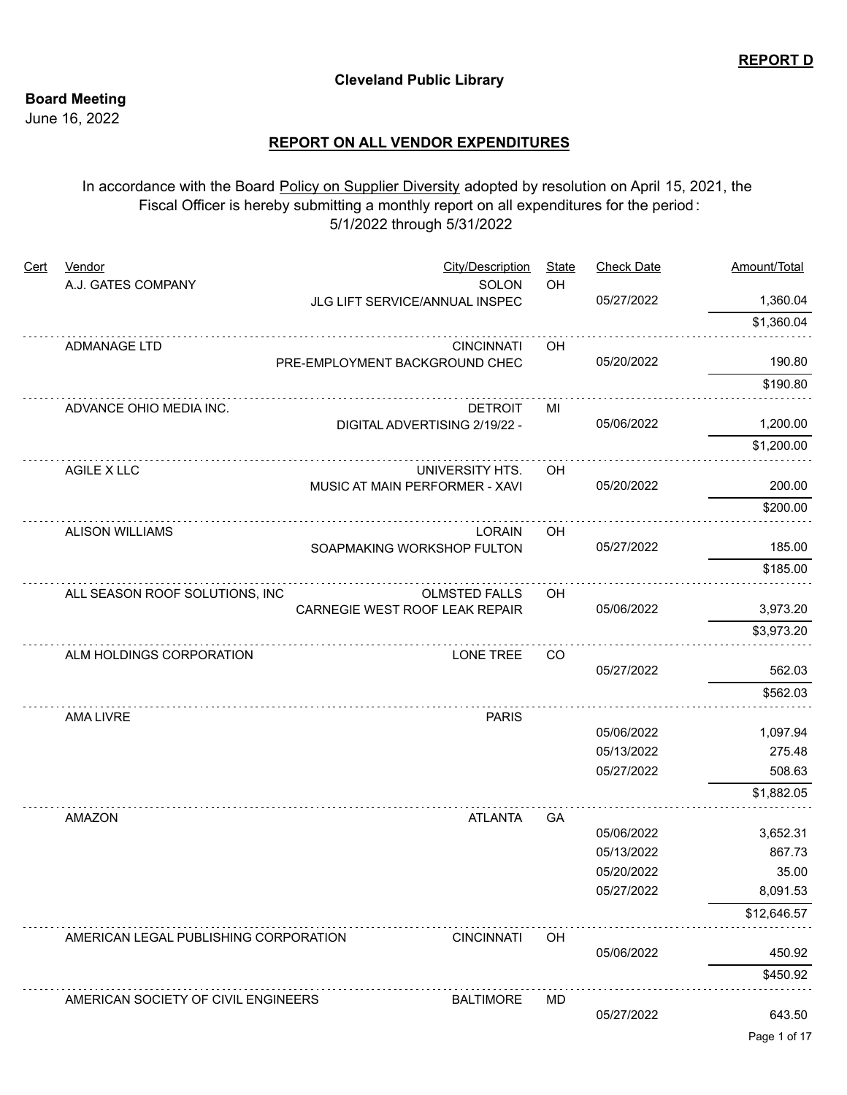## **Cleveland Public Library**

## **Board Meeting**

June 16, 2022

## **REPORT ON ALL VENDOR EXPENDITURES**

In accordance with the Board Policy on Supplier Diversity adopted by resolution on April 15, 2021, the Fiscal Officer is hereby submitting a monthly report on all expenditures for the period : 5/1/2022 through 5/31/2022

| Cert | <b>Vendor</b>                         |                                | City/Description     | <b>State</b> | <b>Check Date</b> | Amount/Total       |
|------|---------------------------------------|--------------------------------|----------------------|--------------|-------------------|--------------------|
|      | A.J. GATES COMPANY                    | JLG LIFT SERVICE/ANNUAL INSPEC | SOLON                | OH           | 05/27/2022        | 1,360.04           |
|      |                                       |                                |                      |              |                   | \$1,360.04         |
|      | ADMANAGE LTD                          |                                | <b>CINCINNATI</b>    | OH           |                   |                    |
|      |                                       | PRE-EMPLOYMENT BACKGROUND CHEC |                      |              | 05/20/2022        | 190.80             |
|      |                                       |                                |                      |              |                   | \$190.80           |
|      | ADVANCE OHIO MEDIA INC.               |                                | <b>DETROIT</b>       | МI           |                   |                    |
|      |                                       | DIGITAL ADVERTISING 2/19/22 -  |                      |              | 05/06/2022        | 1,200.00           |
|      |                                       |                                |                      |              |                   | \$1,200.00         |
|      | AGILE X LLC                           |                                | UNIVERSITY HTS.      | OH           |                   |                    |
|      |                                       | MUSIC AT MAIN PERFORMER - XAVI |                      |              | 05/20/2022        | 200.00             |
|      |                                       |                                |                      |              |                   | \$200.00           |
|      | <b>ALISON WILLIAMS</b>                |                                | <b>LORAIN</b>        | OH           |                   |                    |
|      |                                       | SOAPMAKING WORKSHOP FULTON     |                      |              | 05/27/2022        | 185.00             |
|      |                                       |                                |                      |              |                   | \$185.00           |
|      | ALL SEASON ROOF SOLUTIONS, INC        |                                | <b>OLMSTED FALLS</b> | OH           |                   |                    |
|      |                                       | CARNEGIE WEST ROOF LEAK REPAIR |                      |              | 05/06/2022        | 3,973.20           |
|      |                                       |                                |                      |              |                   | \$3,973.20         |
|      | ALM HOLDINGS CORPORATION              |                                | LONE TREE            | CO           |                   |                    |
|      |                                       |                                |                      |              | 05/27/2022        | 562.03             |
|      |                                       |                                |                      |              |                   | \$562.03           |
|      | AMA LIVRE                             |                                | <b>PARIS</b>         |              |                   |                    |
|      |                                       |                                |                      |              | 05/06/2022        | 1,097.94           |
|      |                                       |                                |                      |              | 05/13/2022        | 275.48             |
|      |                                       |                                |                      |              | 05/27/2022        | 508.63             |
|      |                                       |                                |                      |              |                   | \$1,882.05         |
|      | AMAZON                                |                                | <b>ATLANTA</b>       | GA           | 05/06/2022        |                    |
|      |                                       |                                |                      |              | 05/13/2022        | 3,652.31<br>867.73 |
|      |                                       |                                |                      |              | 05/20/2022        | 35.00              |
|      |                                       |                                |                      |              | 05/27/2022        | 8,091.53           |
|      |                                       |                                |                      |              |                   | \$12,646.57        |
|      |                                       |                                |                      |              |                   |                    |
|      | AMERICAN LEGAL PUBLISHING CORPORATION |                                | <b>CINCINNATI</b>    | OH           | 05/06/2022        | 450.92             |
|      |                                       |                                |                      |              |                   | \$450.92           |
|      |                                       |                                |                      |              |                   |                    |
|      | AMERICAN SOCIETY OF CIVIL ENGINEERS   |                                | <b>BALTIMORE</b>     | <b>MD</b>    | 05/27/2022        | 643.50             |
|      |                                       |                                |                      |              |                   |                    |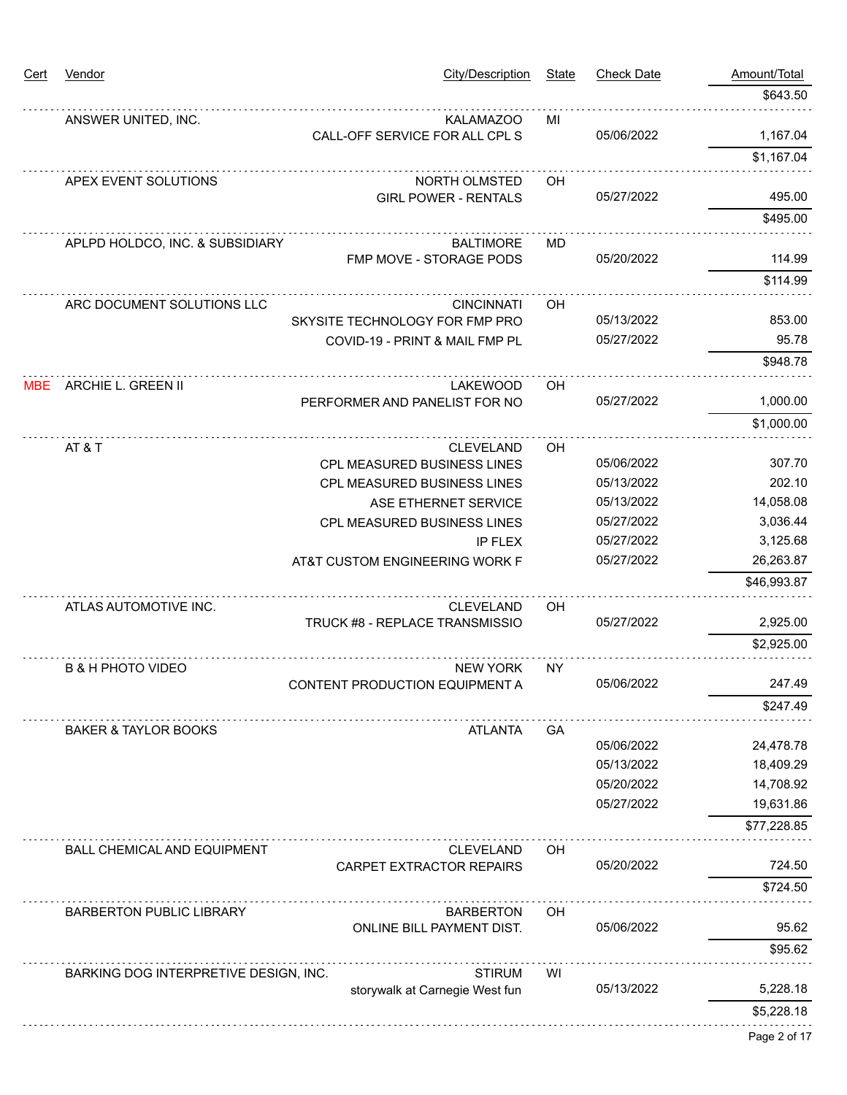| <u>Cert</u> | <b>Vendor</b>                         | <b>City/Description</b>                      | <b>State</b> | <b>Check Date</b> | Amount/Total |
|-------------|---------------------------------------|----------------------------------------------|--------------|-------------------|--------------|
|             |                                       |                                              |              |                   | \$643.50     |
|             | ANSWER UNITED, INC.                   | <b>KALAMAZOO</b>                             | MI           |                   |              |
|             |                                       | CALL-OFF SERVICE FOR ALL CPL S               |              | 05/06/2022        | 1,167.04     |
|             |                                       |                                              |              |                   | \$1,167.04   |
|             | APEX EVENT SOLUTIONS                  | NORTH OLMSTED<br><b>GIRL POWER - RENTALS</b> | OH           | 05/27/2022        | 495.00       |
|             |                                       |                                              |              |                   | \$495.00     |
|             |                                       |                                              |              |                   |              |
|             | APLPD HOLDCO, INC. & SUBSIDIARY       | <b>BALTIMORE</b><br>FMP MOVE - STORAGE PODS  | MD           | 05/20/2022        | 114.99       |
|             |                                       |                                              |              |                   | \$114.99     |
|             | ARC DOCUMENT SOLUTIONS LLC            | <b>CINCINNATI</b>                            | <b>OH</b>    |                   |              |
|             |                                       | SKYSITE TECHNOLOGY FOR FMP PRO               |              | 05/13/2022        | 853.00       |
|             |                                       | COVID-19 - PRINT & MAIL FMP PL               |              | 05/27/2022        | 95.78        |
|             |                                       |                                              |              |                   | \$948.78     |
| MBE         | ARCHIE L. GREEN II                    | <b>LAKEWOOD</b>                              | OH           |                   |              |
|             |                                       | PERFORMER AND PANELIST FOR NO                |              | 05/27/2022        | 1,000.00     |
|             |                                       |                                              |              |                   | \$1,000.00   |
|             | AT&T                                  | <b>CLEVELAND</b>                             | OH           |                   |              |
|             |                                       | CPL MEASURED BUSINESS LINES                  |              | 05/06/2022        | 307.70       |
|             |                                       | CPL MEASURED BUSINESS LINES                  |              | 05/13/2022        | 202.10       |
|             |                                       | ASE ETHERNET SERVICE                         |              | 05/13/2022        | 14,058.08    |
|             |                                       | CPL MEASURED BUSINESS LINES                  |              | 05/27/2022        | 3,036.44     |
|             |                                       | <b>IP FLEX</b>                               |              | 05/27/2022        | 3,125.68     |
|             |                                       | AT&T CUSTOM ENGINEERING WORK F               |              | 05/27/2022        | 26,263.87    |
|             |                                       |                                              |              |                   | \$46,993.87  |
|             | ATLAS AUTOMOTIVE INC.                 | <b>CLEVELAND</b>                             | OH           |                   |              |
|             |                                       | TRUCK #8 - REPLACE TRANSMISSIO               |              | 05/27/2022        | 2,925.00     |
|             |                                       |                                              |              |                   | \$2,925.00   |
|             | <b>B &amp; H PHOTO VIDEO</b>          | <b>NEW YORK</b>                              | <b>NY</b>    |                   |              |
|             |                                       | CONTENT PRODUCTION EQUIPMENT A               |              | 05/06/2022        | 247.49       |
|             |                                       |                                              |              |                   | \$247.49     |
|             | <b>BAKER &amp; TAYLOR BOOKS</b>       | <b>ATLANTA</b>                               | GA           |                   |              |
|             |                                       |                                              |              | 05/06/2022        | 24,478.78    |
|             |                                       |                                              |              | 05/13/2022        | 18,409.29    |
|             |                                       |                                              |              | 05/20/2022        | 14,708.92    |
|             |                                       |                                              |              | 05/27/2022        | 19,631.86    |
|             |                                       |                                              |              |                   | \$77,228.85  |
|             | <b>BALL CHEMICAL AND EQUIPMENT</b>    | <b>CLEVELAND</b>                             | OH           |                   |              |
|             |                                       | CARPET EXTRACTOR REPAIRS                     |              | 05/20/2022        | 724.50       |
|             |                                       |                                              |              |                   | \$724.50     |
|             | <b>BARBERTON PUBLIC LIBRARY</b>       | <b>BARBERTON</b>                             | OН           |                   |              |
|             |                                       | ONLINE BILL PAYMENT DIST.                    |              | 05/06/2022        | 95.62        |
|             |                                       |                                              |              |                   | \$95.62      |
|             | BARKING DOG INTERPRETIVE DESIGN, INC. | <b>STIRUM</b>                                | WI           |                   |              |
|             |                                       | storywalk at Carnegie West fun               |              | 05/13/2022        | 5,228.18     |
|             |                                       |                                              |              |                   | \$5,228.18   |
|             |                                       |                                              |              |                   | Page 2 of 17 |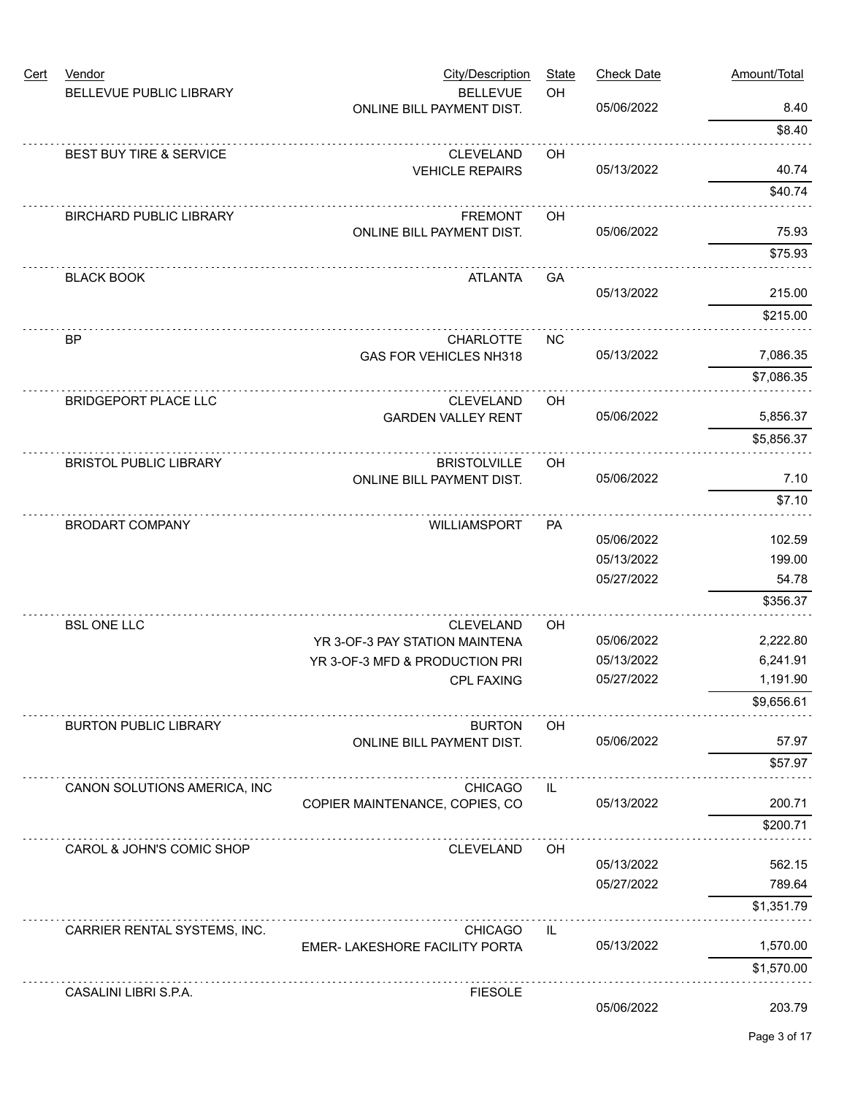| <b>Cert</b> | Vendor                         | <b>City/Description</b>                                          | <b>State</b> | <b>Check Date</b> | Amount/Total |
|-------------|--------------------------------|------------------------------------------------------------------|--------------|-------------------|--------------|
|             | BELLEVUE PUBLIC LIBRARY        | <b>BELLEVUE</b><br>ONLINE BILL PAYMENT DIST.                     | OH           | 05/06/2022        | 8.40         |
|             |                                |                                                                  |              |                   | \$8.40       |
|             | BEST BUY TIRE & SERVICE        | <b>CLEVELAND</b>                                                 | OH           |                   |              |
|             |                                | <b>VEHICLE REPAIRS</b>                                           |              | 05/13/2022        | 40.74        |
|             |                                |                                                                  |              |                   | \$40.74      |
|             | <b>BIRCHARD PUBLIC LIBRARY</b> | <b>FREMONT</b>                                                   | OH           |                   |              |
|             |                                | ONLINE BILL PAYMENT DIST.                                        |              | 05/06/2022        | 75.93        |
|             |                                |                                                                  |              |                   | \$75.93      |
|             | <b>BLACK BOOK</b>              | <b>ATLANTA</b>                                                   | GA           | 05/13/2022        | 215.00       |
|             |                                |                                                                  |              |                   | \$215.00     |
|             |                                |                                                                  |              |                   |              |
|             | <b>BP</b>                      | <b>CHARLOTTE</b><br>GAS FOR VEHICLES NH318                       | <b>NC</b>    | 05/13/2022        | 7,086.35     |
|             |                                |                                                                  |              |                   | \$7,086.35   |
|             | <b>BRIDGEPORT PLACE LLC</b>    | <b>CLEVELAND</b>                                                 | OH           |                   |              |
|             |                                | <b>GARDEN VALLEY RENT</b>                                        |              | 05/06/2022        | 5,856.37     |
|             |                                |                                                                  |              |                   | \$5,856.37   |
|             | <b>BRISTOL PUBLIC LIBRARY</b>  | <b>BRISTOLVILLE</b>                                              | OH           |                   |              |
|             |                                | ONLINE BILL PAYMENT DIST.                                        |              | 05/06/2022        | 7.10         |
|             |                                |                                                                  |              |                   | \$7.10       |
|             | <b>BRODART COMPANY</b>         | WILLIAMSPORT                                                     | <b>PA</b>    |                   |              |
|             |                                |                                                                  |              | 05/06/2022        | 102.59       |
|             |                                |                                                                  |              | 05/13/2022        | 199.00       |
|             |                                |                                                                  |              | 05/27/2022        | 54.78        |
|             |                                |                                                                  |              |                   | \$356.37     |
|             | <b>BSL ONE LLC</b>             | <b>CLEVELAND</b>                                                 | OH           | 05/06/2022        | 2,222.80     |
|             |                                | YR 3-OF-3 PAY STATION MAINTENA<br>YR 3-OF-3 MFD & PRODUCTION PRI |              | 05/13/2022        | 6,241.91     |
|             |                                | <b>CPL FAXING</b>                                                |              | 05/27/2022        | 1,191.90     |
|             |                                |                                                                  |              |                   | \$9,656.61   |
|             | <b>BURTON PUBLIC LIBRARY</b>   | <b>BURTON</b>                                                    | OH           |                   |              |
|             |                                | ONLINE BILL PAYMENT DIST.                                        |              | 05/06/2022        | 57.97        |
|             |                                |                                                                  |              |                   | \$57.97      |
|             | CANON SOLUTIONS AMERICA, INC   | <b>CHICAGO</b>                                                   | IL           |                   |              |
|             |                                | COPIER MAINTENANCE, COPIES, CO                                   |              | 05/13/2022        | 200.71       |
|             |                                |                                                                  |              |                   | \$200.71     |
|             | CAROL & JOHN'S COMIC SHOP      | <b>CLEVELAND</b>                                                 | OH           |                   |              |
|             |                                |                                                                  |              | 05/13/2022        | 562.15       |
|             |                                |                                                                  |              | 05/27/2022        | 789.64       |
|             |                                |                                                                  |              |                   | \$1,351.79   |
|             | CARRIER RENTAL SYSTEMS, INC.   | <b>CHICAGO</b>                                                   | IL           |                   |              |
|             |                                | EMER- LAKESHORE FACILITY PORTA                                   |              | 05/13/2022        | 1,570.00     |
|             |                                |                                                                  |              |                   | \$1,570.00   |
|             | CASALINI LIBRI S.P.A.          | <b>FIESOLE</b>                                                   |              | 05/06/2022        | 203.79       |
|             |                                |                                                                  |              |                   |              |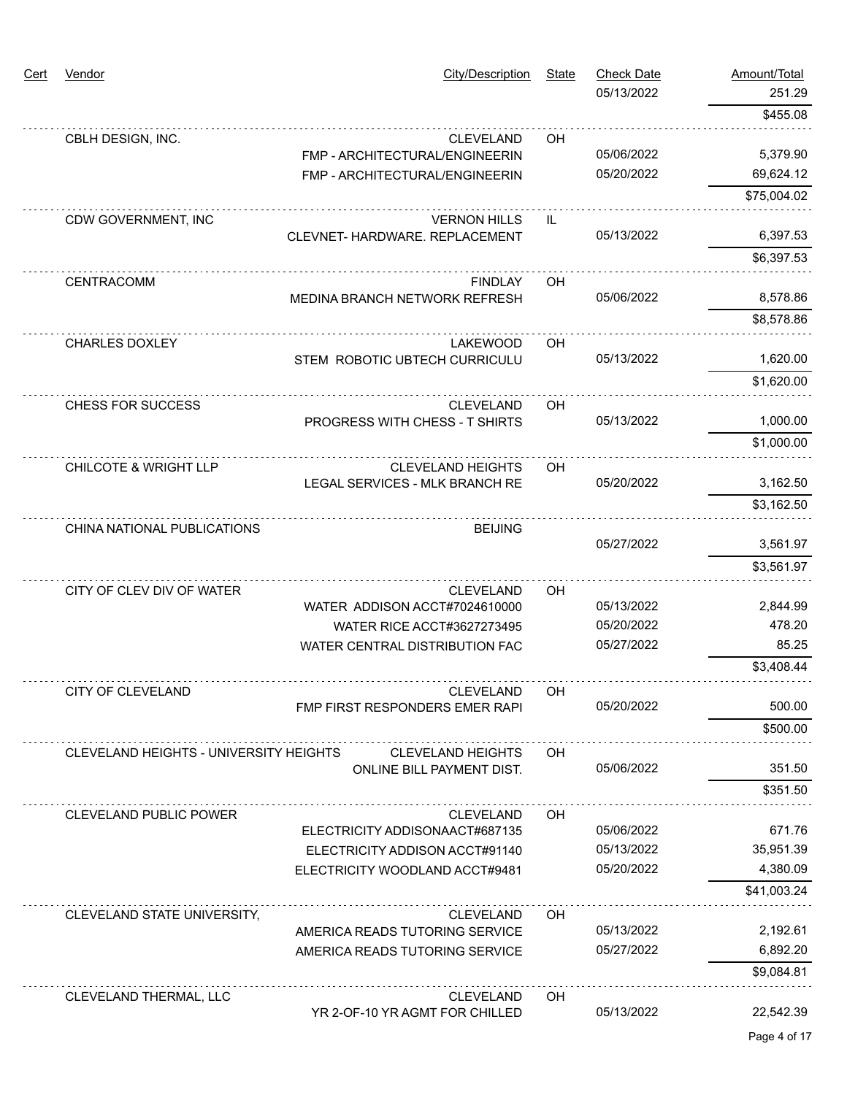| Cert | Vendor                                 | <b>City/Description</b>                                     | <b>State</b> | <b>Check Date</b><br>05/13/2022 | Amount/Total<br>251.29 |
|------|----------------------------------------|-------------------------------------------------------------|--------------|---------------------------------|------------------------|
|      |                                        |                                                             |              |                                 | \$455.08               |
|      | CBLH DESIGN, INC.                      | <b>CLEVELAND</b>                                            | OH           |                                 |                        |
|      |                                        | FMP - ARCHITECTURAL/ENGINEERIN                              |              | 05/06/2022                      | 5,379.90               |
|      |                                        | FMP - ARCHITECTURAL/ENGINEERIN                              |              | 05/20/2022                      | 69,624.12              |
|      |                                        |                                                             |              |                                 | \$75,004.02            |
|      | CDW GOVERNMENT, INC                    | <b>VERNON HILLS</b><br>CLEVNET- HARDWARE. REPLACEMENT       | IL           | 05/13/2022                      | 6,397.53               |
|      |                                        |                                                             |              |                                 | \$6,397.53             |
|      |                                        |                                                             |              |                                 |                        |
|      | CENTRACOMM                             | <b>FINDLAY</b><br>MEDINA BRANCH NETWORK REFRESH             | OH           | 05/06/2022                      | 8,578.86               |
|      |                                        |                                                             |              |                                 | \$8,578.86             |
|      | <b>CHARLES DOXLEY</b>                  | <b>LAKEWOOD</b>                                             | OH           |                                 |                        |
|      |                                        | STEM ROBOTIC UBTECH CURRICULU                               |              | 05/13/2022                      | 1,620.00               |
|      |                                        |                                                             |              |                                 | \$1,620.00             |
|      | CHESS FOR SUCCESS                      | <b>CLEVELAND</b>                                            | OH           |                                 |                        |
|      |                                        | PROGRESS WITH CHESS - T SHIRTS                              |              | 05/13/2022                      | 1,000.00               |
|      |                                        |                                                             |              |                                 | \$1,000.00             |
|      | <b>CHILCOTE &amp; WRIGHT LLP</b>       | <b>CLEVELAND HEIGHTS</b>                                    | OH           |                                 |                        |
|      |                                        | LEGAL SERVICES - MLK BRANCH RE                              | 05/20/2022   |                                 | 3,162.50               |
|      |                                        |                                                             |              |                                 | \$3,162.50             |
|      | CHINA NATIONAL PUBLICATIONS            | <b>BEIJING</b>                                              |              |                                 |                        |
|      |                                        |                                                             |              | 05/27/2022                      | 3,561.97               |
|      |                                        |                                                             |              |                                 | \$3,561.97             |
|      | CITY OF CLEV DIV OF WATER              | <b>CLEVELAND</b>                                            | OH           |                                 |                        |
|      |                                        | WATER ADDISON ACCT#7024610000<br>WATER RICE ACCT#3627273495 |              | 05/13/2022<br>05/20/2022        | 2,844.99<br>478.20     |
|      |                                        | WATER CENTRAL DISTRIBUTION FAC                              |              | 05/27/2022                      | 85.25                  |
|      |                                        |                                                             |              |                                 | \$3,408.44             |
|      | CITY OF CLEVELAND                      | <b>CLEVELAND</b>                                            | OH           |                                 |                        |
|      |                                        | FMP FIRST RESPONDERS EMER RAPI                              |              | 05/20/2022                      | 500.00                 |
|      |                                        |                                                             |              |                                 | \$500.00               |
|      | CLEVELAND HEIGHTS - UNIVERSITY HEIGHTS | <b>CLEVELAND HEIGHTS</b>                                    | <b>OH</b>    |                                 |                        |
|      |                                        | ONLINE BILL PAYMENT DIST.                                   |              | 05/06/2022                      | 351.50                 |
|      |                                        |                                                             |              |                                 | \$351.50               |
|      | <b>CLEVELAND PUBLIC POWER</b>          | <b>CLEVELAND</b>                                            | <b>OH</b>    |                                 |                        |
|      |                                        | ELECTRICITY ADDISONAACT#687135                              |              | 05/06/2022                      | 671.76                 |
|      |                                        | ELECTRICITY ADDISON ACCT#91140                              |              | 05/13/2022                      | 35,951.39              |
|      |                                        | ELECTRICITY WOODLAND ACCT#9481                              |              | 05/20/2022                      | 4,380.09               |
|      |                                        |                                                             |              |                                 | \$41,003.24            |
|      | CLEVELAND STATE UNIVERSITY,            | CLEVELAND<br>AMERICA READS TUTORING SERVICE                 | OH           | 05/13/2022                      | 2,192.61               |
|      |                                        | AMERICA READS TUTORING SERVICE                              |              | 05/27/2022                      | 6,892.20               |
|      |                                        |                                                             |              |                                 | \$9,084.81             |
|      | CLEVELAND THERMAL, LLC                 | <b>CLEVELAND</b>                                            | OH           |                                 |                        |
|      |                                        | YR 2-OF-10 YR AGMT FOR CHILLED                              |              | 05/13/2022                      | 22,542.39              |
|      |                                        |                                                             |              |                                 | Page 4 of 17           |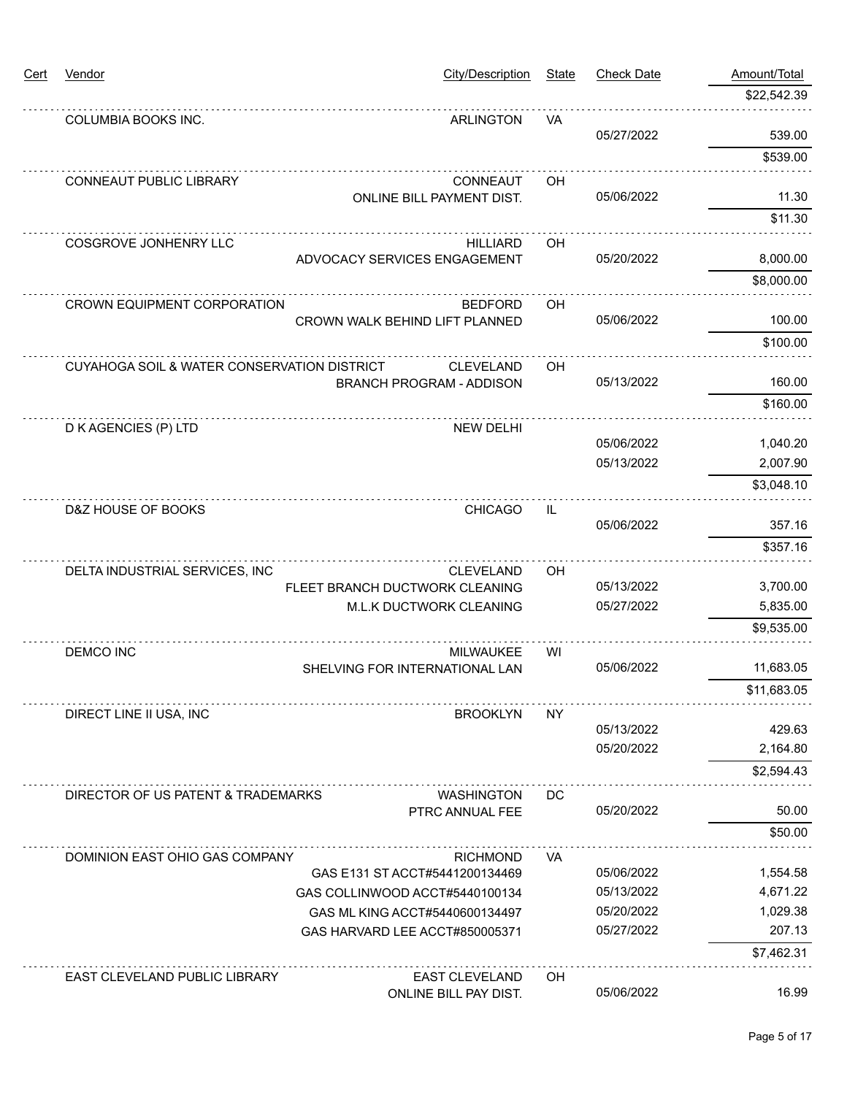| <u>Cert</u> | Vendor                                      | <b>City/Description</b>                                          | <b>State</b>                      | <b>Check Date</b>              | Amount/Total         |
|-------------|---------------------------------------------|------------------------------------------------------------------|-----------------------------------|--------------------------------|----------------------|
|             |                                             |                                                                  |                                   |                                | \$22,542.39          |
|             | COLUMBIA BOOKS INC.                         | <b>ARLINGTON</b>                                                 | VA                                |                                |                      |
|             |                                             |                                                                  |                                   | 05/27/2022                     | 539.00               |
|             |                                             |                                                                  |                                   |                                | \$539.00             |
|             | CONNEAUT PUBLIC LIBRARY                     | CONNEAUT                                                         | OH                                | 05/06/2022                     | 11.30                |
|             |                                             | ONLINE BILL PAYMENT DIST.                                        |                                   |                                | \$11.30              |
|             |                                             |                                                                  |                                   |                                |                      |
|             | COSGROVE JONHENRY LLC                       | <b>HILLIARD</b><br>ADVOCACY SERVICES ENGAGEMENT                  | OH                                | 05/20/2022                     | 8,000.00             |
|             |                                             |                                                                  |                                   |                                | \$8,000.00           |
|             | <b>CROWN EQUIPMENT CORPORATION</b>          | <b>BEDFORD</b>                                                   | OH                                |                                |                      |
|             |                                             | CROWN WALK BEHIND LIFT PLANNED                                   |                                   | 05/06/2022                     | 100.00               |
|             |                                             |                                                                  |                                   |                                | \$100.00             |
|             | CUYAHOGA SOIL & WATER CONSERVATION DISTRICT | <b>CLEVELAND</b>                                                 | OH                                |                                |                      |
|             |                                             | <b>BRANCH PROGRAM - ADDISON</b>                                  |                                   | 05/13/2022                     | 160.00               |
|             |                                             |                                                                  |                                   |                                | \$160.00             |
|             | D K AGENCIES (P) LTD                        | <b>NEW DELHI</b>                                                 |                                   |                                |                      |
|             |                                             |                                                                  |                                   | 05/06/2022<br>05/13/2022       | 1,040.20             |
|             |                                             |                                                                  |                                   |                                | 2,007.90             |
|             |                                             |                                                                  |                                   |                                | \$3,048.10           |
|             | D&Z HOUSE OF BOOKS                          | <b>CHICAGO</b>                                                   | $\ensuremath{\mathsf{IL}}\xspace$ |                                |                      |
|             |                                             |                                                                  |                                   | 05/06/2022                     | 357.16               |
|             |                                             |                                                                  |                                   |                                | \$357.16             |
|             | DELTA INDUSTRIAL SERVICES, INC              | <b>CLEVELAND</b><br>FLEET BRANCH DUCTWORK CLEANING               |                                   | OH<br>05/13/2022<br>05/27/2022 | 3,700.00             |
|             |                                             | M.L.K DUCTWORK CLEANING                                          |                                   |                                | 5,835.00             |
|             |                                             |                                                                  |                                   |                                | \$9,535.00           |
|             | <b>DEMCO INC</b>                            | <b>MILWAUKEE</b>                                                 | WI                                |                                |                      |
|             |                                             | SHELVING FOR INTERNATIONAL LAN                                   |                                   | 05/06/2022                     | 11,683.05            |
|             |                                             |                                                                  |                                   |                                | \$11,683.05          |
|             | DIRECT LINE II USA, INC                     | <b>BROOKLYN</b>                                                  | <b>NY</b>                         |                                |                      |
|             |                                             |                                                                  |                                   | 05/13/2022                     | 429.63               |
|             |                                             |                                                                  |                                   | 05/20/2022                     | 2,164.80             |
|             |                                             |                                                                  |                                   |                                | \$2,594.43           |
|             | DIRECTOR OF US PATENT & TRADEMARKS          | <b>WASHINGTON</b>                                                | DC                                |                                |                      |
|             |                                             | PTRC ANNUAL FEE                                                  |                                   | 05/20/2022                     | 50.00                |
|             |                                             |                                                                  |                                   |                                | \$50.00              |
|             | DOMINION EAST OHIO GAS COMPANY              | <b>RICHMOND</b>                                                  | VA                                |                                |                      |
|             |                                             | GAS E131 ST ACCT#5441200134469<br>GAS COLLINWOOD ACCT#5440100134 |                                   | 05/06/2022<br>05/13/2022       | 1,554.58<br>4,671.22 |
|             |                                             | GAS ML KING ACCT#5440600134497                                   |                                   | 05/20/2022                     | 1,029.38             |
|             |                                             | GAS HARVARD LEE ACCT#850005371                                   |                                   | 05/27/2022                     | 207.13               |
|             |                                             |                                                                  |                                   |                                | \$7,462.31           |
|             | EAST CLEVELAND PUBLIC LIBRARY               | <b>EAST CLEVELAND</b>                                            | OH                                |                                |                      |
|             |                                             | ONLINE BILL PAY DIST.                                            |                                   | 05/06/2022                     | 16.99                |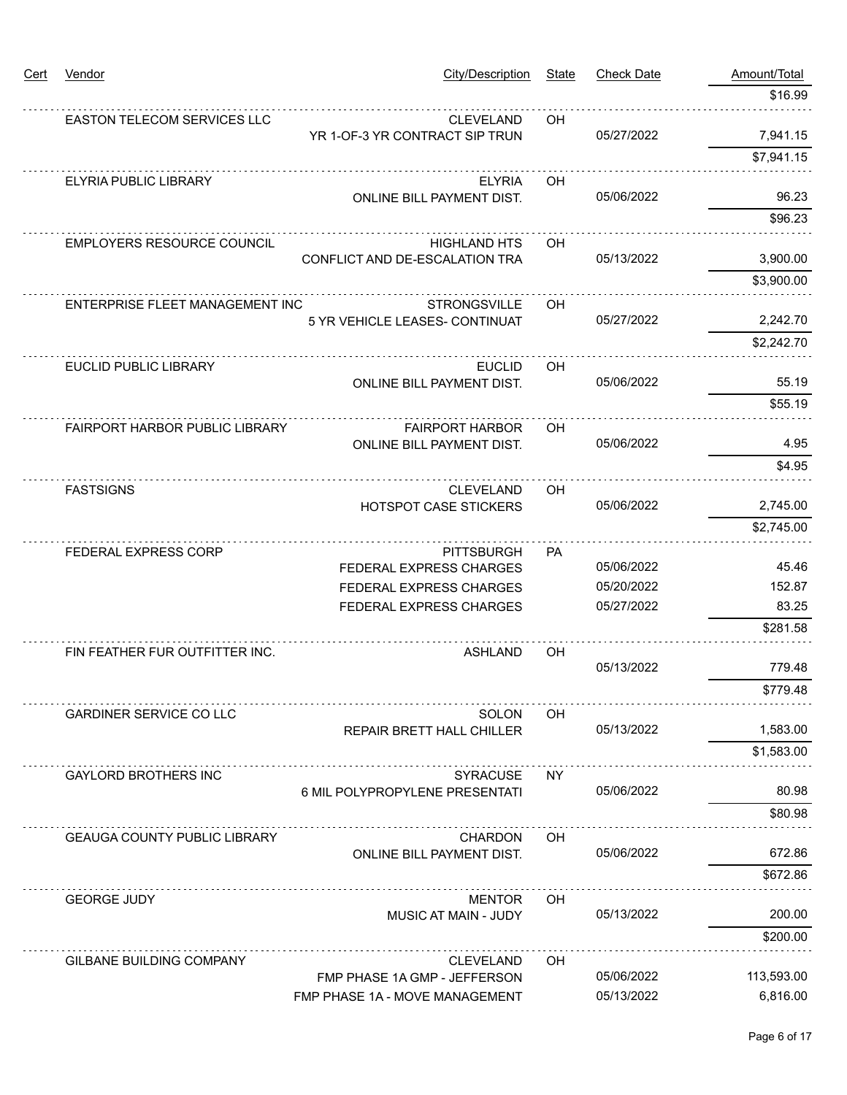| Cert | Vendor                                | <b>City/Description</b>                            | <b>State</b> | <b>Check Date</b> | Amount/Total |
|------|---------------------------------------|----------------------------------------------------|--------------|-------------------|--------------|
|      |                                       |                                                    |              |                   | \$16.99      |
|      | EASTON TELECOM SERVICES LLC           | <b>CLEVELAND</b><br>YR 1-OF-3 YR CONTRACT SIP TRUN | OH           | 05/27/2022        | 7,941.15     |
|      |                                       |                                                    |              |                   | \$7,941.15   |
|      | ELYRIA PUBLIC LIBRARY                 | <b>ELYRIA</b><br><b>ONLINE BILL PAYMENT DIST.</b>  | OH           | 05/06/2022        | 96.23        |
|      |                                       |                                                    |              |                   | \$96.23      |
|      | <b>EMPLOYERS RESOURCE COUNCIL</b>     | <b>HIGHLAND HTS</b>                                | OH           |                   |              |
|      |                                       | CONFLICT AND DE-ESCALATION TRA                     |              | 05/13/2022        | 3,900.00     |
|      |                                       |                                                    |              |                   | \$3,900.00   |
|      | ENTERPRISE FLEET MANAGEMENT INC       | <b>STRONGSVILLE</b>                                | OH           |                   |              |
|      |                                       | 5 YR VEHICLE LEASES- CONTINUAT                     |              | 05/27/2022        | 2,242.70     |
|      |                                       |                                                    |              |                   | \$2,242.70   |
|      | <b>EUCLID PUBLIC LIBRARY</b>          | <b>EUCLID</b>                                      | OH           |                   |              |
|      |                                       | <b>ONLINE BILL PAYMENT DIST.</b>                   |              | 05/06/2022        | 55.19        |
|      |                                       |                                                    |              |                   | \$55.19      |
|      | <b>FAIRPORT HARBOR PUBLIC LIBRARY</b> | <b>FAIRPORT HARBOR</b>                             | OH.          |                   |              |
|      |                                       | <b>ONLINE BILL PAYMENT DIST.</b>                   |              | 05/06/2022        | 4.95         |
|      |                                       |                                                    |              |                   | \$4.95       |
|      | <b>FASTSIGNS</b>                      | <b>CLEVELAND</b>                                   | OH           |                   |              |
|      |                                       | <b>HOTSPOT CASE STICKERS</b>                       |              | 05/06/2022        | 2,745.00     |
|      |                                       |                                                    |              |                   | \$2,745.00   |
|      | FEDERAL EXPRESS CORP                  | <b>PITTSBURGH</b>                                  | PA           |                   |              |
|      |                                       | FEDERAL EXPRESS CHARGES                            |              | 05/06/2022        | 45.46        |
|      |                                       | <b>FEDERAL EXPRESS CHARGES</b>                     |              | 05/20/2022        | 152.87       |
|      |                                       | FEDERAL EXPRESS CHARGES                            |              | 05/27/2022        | 83.25        |
|      |                                       |                                                    |              |                   | \$281.58     |
|      | FIN FEATHER FUR OUTFITTER INC.        | ASHLAND                                            | OH           |                   |              |
|      |                                       |                                                    |              | 05/13/2022        | 779.48       |
|      |                                       |                                                    |              |                   | \$779.48     |
|      | <b>GARDINER SERVICE CO LLC</b>        | SOLON                                              | OH.          |                   |              |
|      |                                       | <b>REPAIR BRETT HALL CHILLER</b>                   |              | 05/13/2022        | 1,583.00     |
|      |                                       |                                                    |              |                   | \$1,583.00   |
|      | <b>GAYLORD BROTHERS INC</b>           | <b>SYRACUSE</b>                                    | ΝY           |                   |              |
|      |                                       | 6 MIL POLYPROPYLENE PRESENTATI                     |              | 05/06/2022        | 80.98        |
|      |                                       |                                                    |              |                   | \$80.98      |
|      | <b>GEAUGA COUNTY PUBLIC LIBRARY</b>   | <b>CHARDON</b>                                     | OH           |                   |              |
|      |                                       | ONLINE BILL PAYMENT DIST.                          |              | 05/06/2022        | 672.86       |
|      |                                       |                                                    |              |                   | \$672.86     |
|      | <b>GEORGE JUDY</b>                    | <b>MENTOR</b>                                      | OH.          |                   |              |
|      |                                       | <b>MUSIC AT MAIN - JUDY</b>                        |              | 05/13/2022        | 200.00       |
|      |                                       |                                                    |              |                   | \$200.00     |
|      | <b>GILBANE BUILDING COMPANY</b>       | <b>CLEVELAND</b>                                   | OН           |                   |              |
|      |                                       | FMP PHASE 1A GMP - JEFFERSON                       |              | 05/06/2022        | 113,593.00   |
|      |                                       | FMP PHASE 1A - MOVE MANAGEMENT                     |              | 05/13/2022        | 6,816.00     |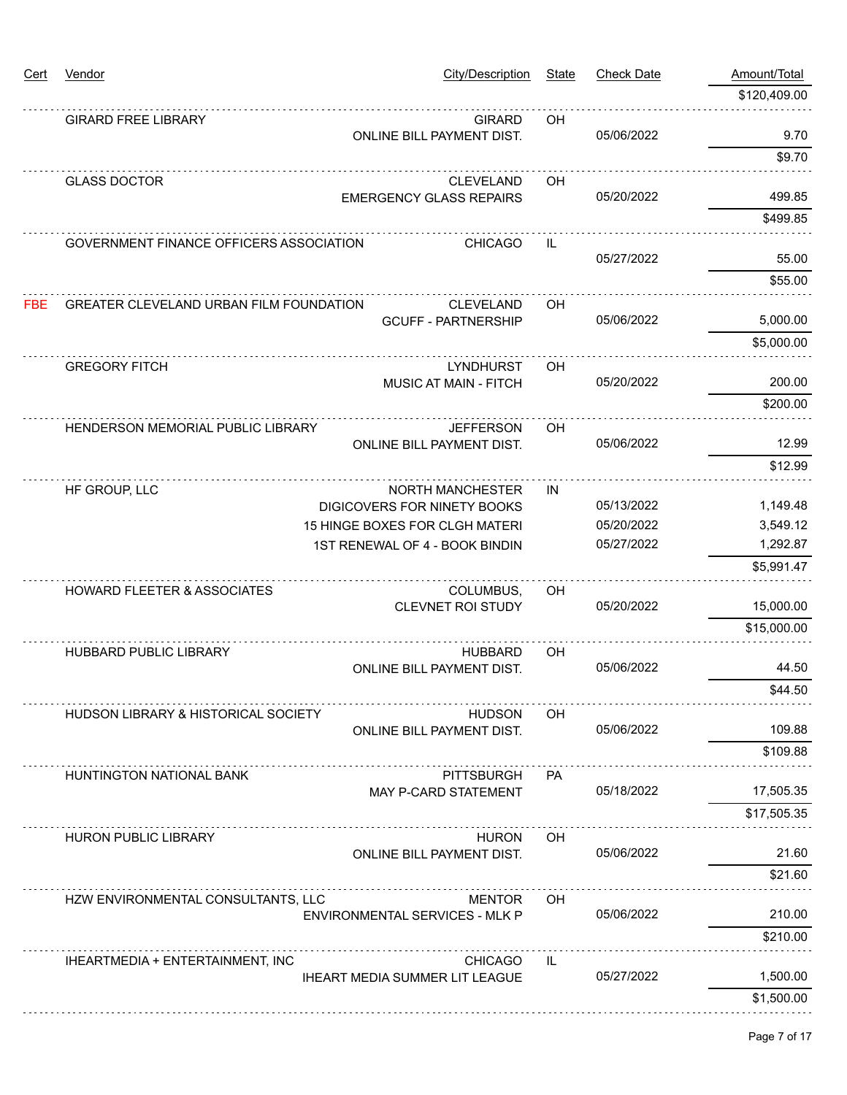| <u>Cert</u> | Vendor                                         | <b>City/Description</b>                                | State     | <b>Check Date</b> | Amount/Total |
|-------------|------------------------------------------------|--------------------------------------------------------|-----------|-------------------|--------------|
|             |                                                |                                                        |           |                   | \$120,409.00 |
|             | <b>GIRARD FREE LIBRARY</b>                     | <b>GIRARD</b><br>ONLINE BILL PAYMENT DIST.             | OH        | 05/06/2022        | 9.70         |
|             |                                                |                                                        |           |                   | \$9.70       |
|             | <b>GLASS DOCTOR</b>                            | <b>CLEVELAND</b><br><b>EMERGENCY GLASS REPAIRS</b>     | OH        | 05/20/2022        | 499.85       |
|             |                                                |                                                        |           |                   | \$499.85     |
|             | GOVERNMENT FINANCE OFFICERS ASSOCIATION        | <b>CHICAGO</b>                                         | IL        |                   |              |
|             |                                                |                                                        |           | 05/27/2022        | 55.00        |
|             |                                                |                                                        |           |                   | \$55.00      |
| <b>FBE</b>  | GREATER CLEVELAND URBAN FILM FOUNDATION        | <b>CLEVELAND</b><br><b>GCUFF - PARTNERSHIP</b>         | OH        | 05/06/2022        | 5,000.00     |
|             |                                                |                                                        |           |                   | \$5,000.00   |
|             | <b>GREGORY FITCH</b>                           | LYNDHURST                                              | OH        |                   |              |
|             |                                                | <b>MUSIC AT MAIN - FITCH</b>                           |           | 05/20/2022        | 200.00       |
|             |                                                |                                                        |           |                   | \$200.00     |
|             | HENDERSON MEMORIAL PUBLIC LIBRARY              | <b>JEFFERSON</b>                                       | OH        | 05/06/2022        | 12.99        |
|             |                                                | <b>ONLINE BILL PAYMENT DIST.</b>                       |           |                   | \$12.99      |
|             |                                                |                                                        |           |                   |              |
|             | HF GROUP, LLC                                  | <b>NORTH MANCHESTER</b><br>DIGICOVERS FOR NINETY BOOKS | IN        | 05/13/2022        | 1,149.48     |
|             |                                                | 15 HINGE BOXES FOR CLGH MATERI                         |           | 05/20/2022        | 3,549.12     |
|             |                                                | 1ST RENEWAL OF 4 - BOOK BINDIN                         |           | 05/27/2022        | 1,292.87     |
|             |                                                |                                                        |           |                   | \$5,991.47   |
|             | <b>HOWARD FLEETER &amp; ASSOCIATES</b>         | COLUMBUS,                                              | OH        |                   |              |
|             |                                                | <b>CLEVNET ROI STUDY</b>                               |           | 05/20/2022        | 15,000.00    |
|             |                                                |                                                        |           |                   | \$15,000.00  |
|             | <b>HUBBARD PUBLIC LIBRARY</b>                  | <b>HUBBARD</b>                                         | <b>OH</b> | 05/06/2022        | 44.50        |
|             |                                                | ONLINE BILL PAYMENT DIST.                              |           |                   | \$44.50      |
|             |                                                |                                                        |           |                   |              |
|             | <b>HUDSON LIBRARY &amp; HISTORICAL SOCIETY</b> | <b>HUDSON</b><br>ONLINE BILL PAYMENT DIST.             | OН        | 05/06/2022        | 109.88       |
|             |                                                |                                                        |           |                   | \$109.88     |
|             | HUNTINGTON NATIONAL BANK                       | <b>PITTSBURGH</b>                                      | PA.       |                   |              |
|             |                                                | <b>MAY P-CARD STATEMENT</b>                            |           | 05/18/2022        | 17,505.35    |
|             |                                                |                                                        |           |                   | \$17,505.35  |
|             | <b>HURON PUBLIC LIBRARY</b>                    | <b>HURON</b>                                           | OH        |                   |              |
|             |                                                | ONLINE BILL PAYMENT DIST.                              |           | 05/06/2022        | 21.60        |
|             |                                                |                                                        |           |                   | \$21.60      |
|             | HZW ENVIRONMENTAL CONSULTANTS, LLC             | <b>MENTOR</b><br>ENVIRONMENTAL SERVICES - MLK P        | OH        | 05/06/2022        | 210.00       |
|             |                                                |                                                        |           |                   | \$210.00     |
|             |                                                |                                                        |           |                   |              |
|             | IHEARTMEDIA + ENTERTAINMENT, INC               | <b>CHICAGO</b><br>IHEART MEDIA SUMMER LIT LEAGUE       | IL.       | 05/27/2022        | 1,500.00     |
|             |                                                |                                                        |           |                   | \$1,500.00   |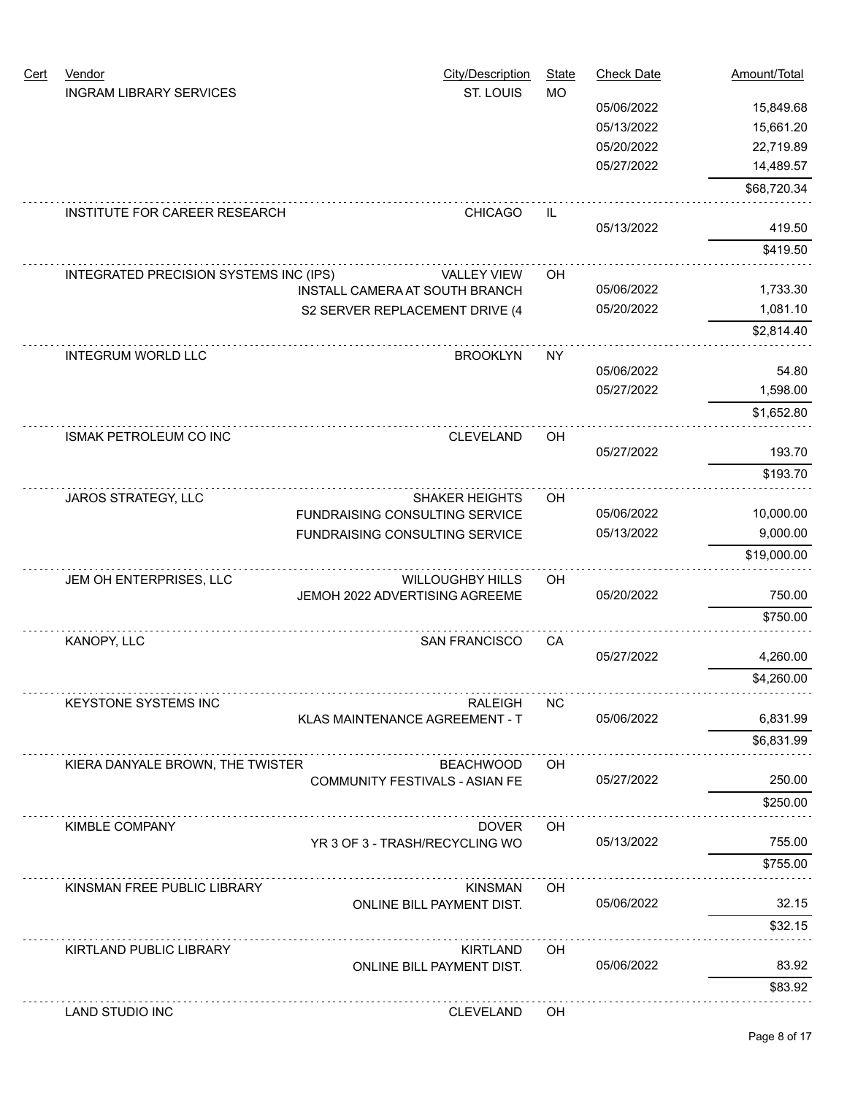| Cert | Vendor<br><b>INGRAM LIBRARY SERVICES</b> | <b>City/Description</b><br>ST. LOUIS      | <b>State</b><br><b>MO</b> | <b>Check Date</b> | Amount/Total |
|------|------------------------------------------|-------------------------------------------|---------------------------|-------------------|--------------|
|      |                                          |                                           |                           | 05/06/2022        | 15,849.68    |
|      |                                          |                                           |                           | 05/13/2022        | 15,661.20    |
|      |                                          |                                           |                           | 05/20/2022        | 22,719.89    |
|      |                                          |                                           |                           | 05/27/2022        | 14,489.57    |
|      |                                          |                                           |                           |                   | \$68,720.34  |
|      | INSTITUTE FOR CAREER RESEARCH            | <b>CHICAGO</b>                            | IL                        | 05/13/2022        | 419.50       |
|      |                                          |                                           |                           |                   | \$419.50     |
|      | INTEGRATED PRECISION SYSTEMS INC (IPS)   | <b>VALLEY VIEW</b>                        | OH                        |                   |              |
|      |                                          | INSTALL CAMERA AT SOUTH BRANCH            |                           | 05/06/2022        | 1,733.30     |
|      |                                          | S2 SERVER REPLACEMENT DRIVE (4            |                           | 05/20/2022        | 1,081.10     |
|      |                                          |                                           |                           |                   | \$2,814.40   |
|      | <b>INTEGRUM WORLD LLC</b>                | <b>BROOKLYN</b>                           | <b>NY</b>                 |                   |              |
|      |                                          |                                           |                           | 05/06/2022        | 54.80        |
|      |                                          |                                           |                           | 05/27/2022        | 1,598.00     |
|      |                                          |                                           |                           |                   | \$1,652.80   |
|      | <b>ISMAK PETROLEUM CO INC</b>            | <b>CLEVELAND</b>                          | OH                        |                   |              |
|      |                                          |                                           |                           | 05/27/2022        | 193.70       |
|      |                                          |                                           |                           |                   | \$193.70     |
|      | JAROS STRATEGY, LLC                      | <b>SHAKER HEIGHTS</b>                     | OH                        |                   |              |
|      |                                          | FUNDRAISING CONSULTING SERVICE            |                           | 05/06/2022        | 10,000.00    |
|      |                                          | FUNDRAISING CONSULTING SERVICE            |                           | 05/13/2022        | 9,000.00     |
|      |                                          |                                           |                           |                   | \$19,000.00  |
|      | JEM OH ENTERPRISES, LLC                  | <b>WILLOUGHBY HILLS</b>                   | OH                        |                   |              |
|      |                                          | JEMOH 2022 ADVERTISING AGREEME            |                           | 05/20/2022        | 750.00       |
|      |                                          |                                           |                           |                   | \$750.00     |
|      | KANOPY, LLC                              | <b>SAN FRANCISCO</b>                      | CA                        |                   |              |
|      |                                          |                                           |                           | 05/27/2022        | 4,260.00     |
|      |                                          |                                           |                           |                   | \$4,260.00   |
|      | <b>KEYSTONE SYSTEMS INC</b>              | RALEIGH<br>KLAS MAINTENANCE AGREEMENT - T | NC.                       | 05/06/2022        | 6,831.99     |
|      |                                          |                                           |                           |                   | \$6,831.99   |
|      | KIERA DANYALE BROWN, THE TWISTER         | <b>BEACHWOOD</b>                          | OH.                       |                   |              |
|      |                                          | <b>COMMUNITY FESTIVALS - ASIAN FE</b>     |                           | 05/27/2022        | 250.00       |
|      |                                          |                                           |                           |                   | \$250.00     |
|      | <b>KIMBLE COMPANY</b>                    | <b>DOVER</b>                              | OH                        |                   |              |
|      |                                          | YR 3 OF 3 - TRASH/RECYCLING WO            |                           | 05/13/2022        | 755.00       |
|      |                                          |                                           |                           |                   | \$755.00     |
|      | KINSMAN FREE PUBLIC LIBRARY              | <b>KINSMAN</b>                            | OH                        |                   |              |
|      |                                          | ONLINE BILL PAYMENT DIST.                 |                           | 05/06/2022        | 32.15        |
|      |                                          | .                                         |                           |                   | \$32.15      |
|      | KIRTLAND PUBLIC LIBRARY                  | <b>KIRTLAND</b>                           | OH                        |                   |              |
|      |                                          | ONLINE BILL PAYMENT DIST.                 |                           | 05/06/2022        | 83.92        |
|      |                                          |                                           |                           |                   | \$83.92      |
|      | LAND STUDIO INC                          | <b>CLEVELAND</b>                          | OH.                       |                   |              |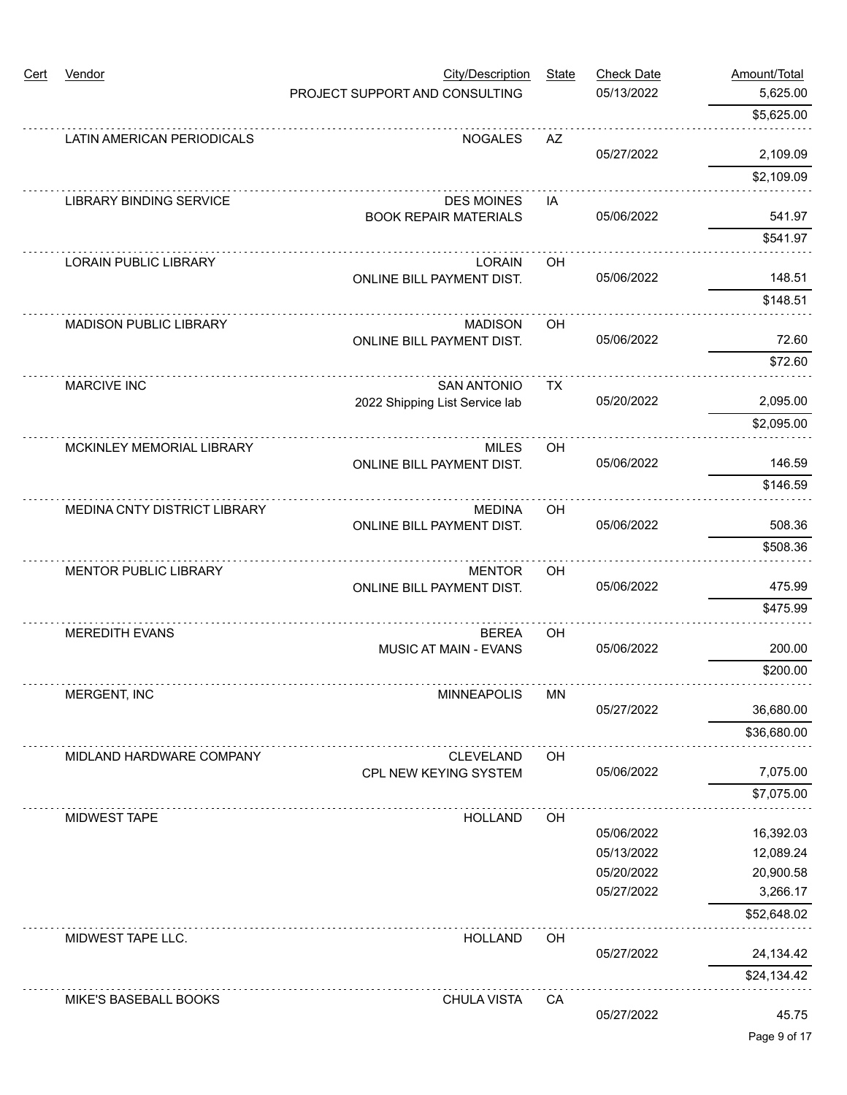| Cert | Vendor                         | <b>City/Description</b>                           | <b>State</b> | <b>Check Date</b> | Amount/Total |
|------|--------------------------------|---------------------------------------------------|--------------|-------------------|--------------|
|      |                                | PROJECT SUPPORT AND CONSULTING                    |              | 05/13/2022        | 5,625.00     |
|      |                                |                                                   |              |                   | \$5,625.00   |
|      | LATIN AMERICAN PERIODICALS     | <b>NOGALES</b>                                    | AZ           | 05/27/2022        | 2,109.09     |
|      |                                |                                                   |              |                   | \$2,109.09   |
|      |                                |                                                   |              |                   |              |
|      | <b>LIBRARY BINDING SERVICE</b> | <b>DES MOINES</b><br><b>BOOK REPAIR MATERIALS</b> | IA           | 05/06/2022        | 541.97       |
|      |                                |                                                   |              |                   | \$541.97     |
|      | <b>LORAIN PUBLIC LIBRARY</b>   | <b>LORAIN</b>                                     | OH           |                   |              |
|      |                                | ONLINE BILL PAYMENT DIST.                         |              | 05/06/2022        | 148.51       |
|      |                                |                                                   |              |                   | \$148.51     |
|      | <b>MADISON PUBLIC LIBRARY</b>  | <b>MADISON</b>                                    | OH           |                   |              |
|      |                                | <b>ONLINE BILL PAYMENT DIST.</b>                  |              | 05/06/2022        | 72.60        |
|      |                                |                                                   |              |                   | \$72.60      |
|      | <b>MARCIVE INC</b>             | <b>SAN ANTONIO</b>                                | TX           |                   |              |
|      |                                | 2022 Shipping List Service lab                    |              | 05/20/2022        | 2,095.00     |
|      |                                |                                                   |              |                   | \$2,095.00   |
|      | MCKINLEY MEMORIAL LIBRARY      | <b>MILES</b>                                      | OH           |                   |              |
|      |                                | ONLINE BILL PAYMENT DIST.                         |              | 05/06/2022        | 146.59       |
|      |                                |                                                   |              |                   | \$146.59     |
|      | MEDINA CNTY DISTRICT LIBRARY   | <b>MEDINA</b>                                     | <b>OH</b>    |                   |              |
|      |                                | ONLINE BILL PAYMENT DIST.                         |              | 05/06/2022        | 508.36       |
|      |                                |                                                   |              |                   | \$508.36     |
|      | <b>MENTOR PUBLIC LIBRARY</b>   | <b>MENTOR</b>                                     | OH           |                   |              |
|      |                                | ONLINE BILL PAYMENT DIST.                         |              | 05/06/2022        | 475.99       |
|      |                                |                                                   |              |                   | \$475.99     |
|      | <b>MEREDITH EVANS</b>          | <b>BEREA</b>                                      | OH           |                   |              |
|      |                                | <b>MUSIC AT MAIN - EVANS</b>                      |              | 05/06/2022        | 200.00       |
|      |                                |                                                   |              |                   | \$200.00     |
|      | MERGENT, INC                   | <b>MINNEAPOLIS</b>                                | <b>MN</b>    |                   |              |
|      |                                |                                                   |              | 05/27/2022        | 36,680.00    |
|      |                                |                                                   |              |                   | \$36,680.00  |
|      | MIDLAND HARDWARE COMPANY       | <b>CLEVELAND</b>                                  | OH           |                   |              |
|      |                                | CPL NEW KEYING SYSTEM                             |              | 05/06/2022        | 7,075.00     |
|      |                                |                                                   |              |                   | \$7,075.00   |
|      | <b>MIDWEST TAPE</b>            | <b>HOLLAND</b>                                    | OH           |                   |              |
|      |                                |                                                   |              | 05/06/2022        | 16,392.03    |
|      |                                |                                                   |              | 05/13/2022        | 12,089.24    |
|      |                                |                                                   |              | 05/20/2022        | 20,900.58    |
|      |                                |                                                   |              | 05/27/2022        | 3,266.17     |
|      |                                |                                                   |              |                   | \$52,648.02  |
|      | MIDWEST TAPE LLC.              | <b>HOLLAND</b>                                    | OH           |                   |              |
|      |                                |                                                   |              | 05/27/2022        | 24,134.42    |
|      |                                |                                                   |              |                   | \$24,134.42  |
|      | MIKE'S BASEBALL BOOKS          | CHULA VISTA                                       | CA           |                   |              |
|      |                                |                                                   |              | 05/27/2022        | 45.75        |
|      |                                |                                                   |              |                   |              |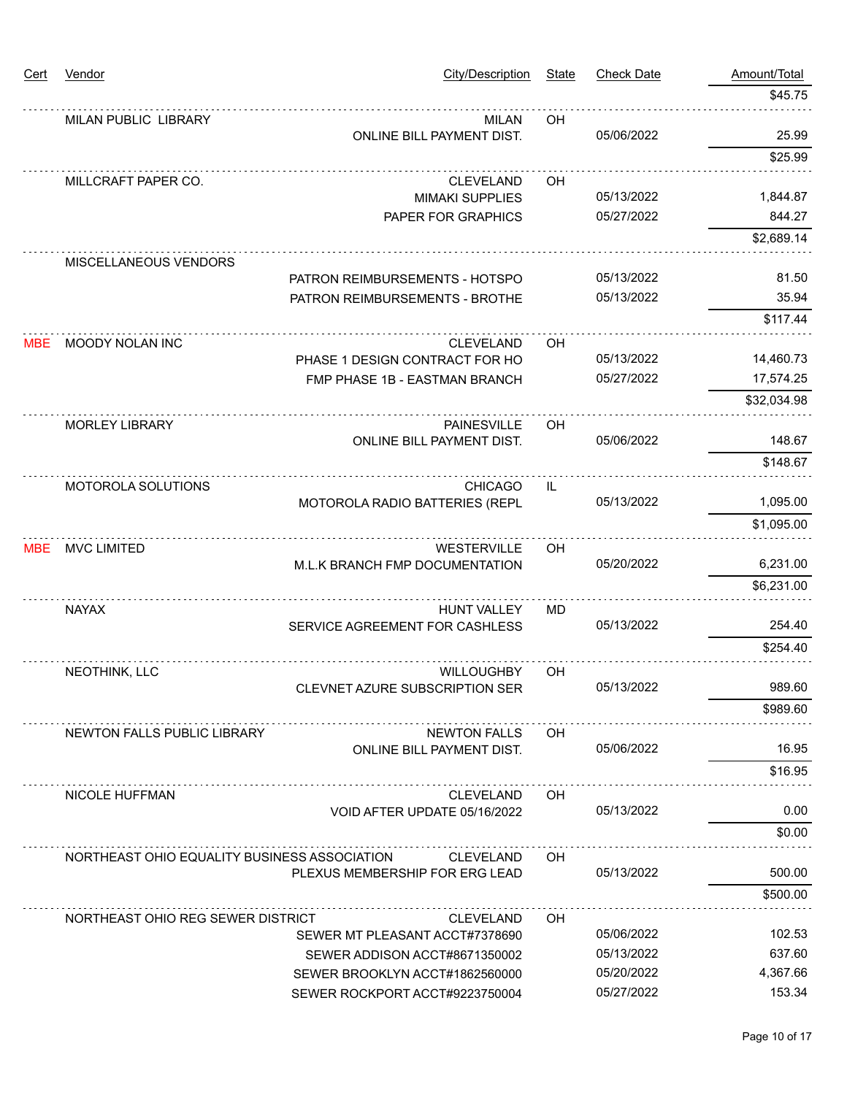| <u>Cert</u> | Vendor                                       | City/Description                                                 | <b>State</b> | <b>Check Date</b> | Amount/Total       |
|-------------|----------------------------------------------|------------------------------------------------------------------|--------------|-------------------|--------------------|
|             |                                              |                                                                  |              |                   | \$45.75            |
|             | <b>MILAN PUBLIC LIBRARY</b>                  | <b>MILAN</b>                                                     | OH           |                   |                    |
|             |                                              | ONLINE BILL PAYMENT DIST.                                        |              | 05/06/2022        | 25.99              |
|             |                                              |                                                                  |              |                   | \$25.99            |
|             | MILLCRAFT PAPER CO.                          | <b>CLEVELAND</b>                                                 | OH           | 05/13/2022        |                    |
|             |                                              | <b>MIMAKI SUPPLIES</b>                                           |              | 05/27/2022        | 1,844.87<br>844.27 |
|             |                                              | PAPER FOR GRAPHICS                                               |              |                   | \$2,689.14         |
|             | MISCELLANEOUS VENDORS                        |                                                                  |              |                   |                    |
|             |                                              | PATRON REIMBURSEMENTS - HOTSPO                                   |              | 05/13/2022        | 81.50              |
|             |                                              | PATRON REIMBURSEMENTS - BROTHE                                   |              | 05/13/2022        | 35.94              |
|             |                                              |                                                                  |              |                   | \$117.44           |
| <b>MBE</b>  | MOODY NOLAN INC                              | <b>CLEVELAND</b>                                                 | OH           |                   |                    |
|             |                                              | PHASE 1 DESIGN CONTRACT FOR HO                                   |              | 05/13/2022        | 14,460.73          |
|             |                                              | FMP PHASE 1B - EASTMAN BRANCH                                    |              | 05/27/2022        | 17,574.25          |
|             |                                              |                                                                  |              |                   | \$32,034.98        |
|             | <b>MORLEY LIBRARY</b>                        | <b>PAINESVILLE</b>                                               | OH           |                   |                    |
|             |                                              | ONLINE BILL PAYMENT DIST.                                        |              | 05/06/2022        | 148.67             |
|             |                                              |                                                                  |              |                   | \$148.67           |
|             | MOTOROLA SOLUTIONS                           | <b>CHICAGO</b>                                                   | IL           |                   |                    |
|             |                                              | MOTOROLA RADIO BATTERIES (REPL                                   |              | 05/13/2022        | 1,095.00           |
|             |                                              |                                                                  |              |                   | \$1,095.00         |
| <b>MBE</b>  | <b>MVC LIMITED</b>                           | <b>WESTERVILLE</b>                                               | OH           |                   |                    |
|             |                                              | M.L.K BRANCH FMP DOCUMENTATION                                   |              | 05/20/2022        | 6,231.00           |
|             |                                              |                                                                  |              |                   | \$6,231.00         |
|             | <b>NAYAX</b>                                 | <b>HUNT VALLEY</b>                                               | MD           |                   |                    |
|             |                                              | SERVICE AGREEMENT FOR CASHLESS                                   |              | 05/13/2022        | 254.40             |
|             |                                              |                                                                  |              |                   | \$254.40           |
|             | NEOTHINK, LLC                                | <b>WILLOUGHBY</b>                                                | OH           |                   |                    |
|             |                                              | CLEVNET AZURE SUBSCRIPTION SER                                   |              | 05/13/2022        | 989.60             |
|             |                                              |                                                                  |              |                   | \$989.60           |
|             | NEWTON FALLS PUBLIC LIBRARY                  | <b>NEWTON FALLS</b>                                              | OH.          |                   |                    |
|             |                                              | <b>ONLINE BILL PAYMENT DIST.</b>                                 |              | 05/06/2022        | 16.95              |
|             |                                              |                                                                  |              |                   | \$16.95            |
|             | <b>NICOLE HUFFMAN</b>                        | <b>CLEVELAND</b>                                                 | OH           |                   |                    |
|             |                                              | VOID AFTER UPDATE 05/16/2022                                     |              | 05/13/2022        | 0.00               |
|             |                                              |                                                                  |              |                   | \$0.00             |
|             | NORTHEAST OHIO EQUALITY BUSINESS ASSOCIATION | <b>CLEVELAND</b>                                                 | OH           | 05/13/2022        | 500.00             |
|             |                                              | PLEXUS MEMBERSHIP FOR ERG LEAD                                   |              |                   |                    |
|             |                                              |                                                                  |              |                   | \$500.00           |
|             | NORTHEAST OHIO REG SEWER DISTRICT            | <b>CLEVELAND</b>                                                 | OH.          | 05/06/2022        | 102.53             |
|             |                                              | SEWER MT PLEASANT ACCT#7378690<br>SEWER ADDISON ACCT#8671350002  |              | 05/13/2022        | 637.60             |
|             |                                              |                                                                  |              | 05/20/2022        | 4,367.66           |
|             |                                              | SEWER BROOKLYN ACCT#1862560000<br>SEWER ROCKPORT ACCT#9223750004 |              | 05/27/2022        | 153.34             |
|             |                                              |                                                                  |              |                   |                    |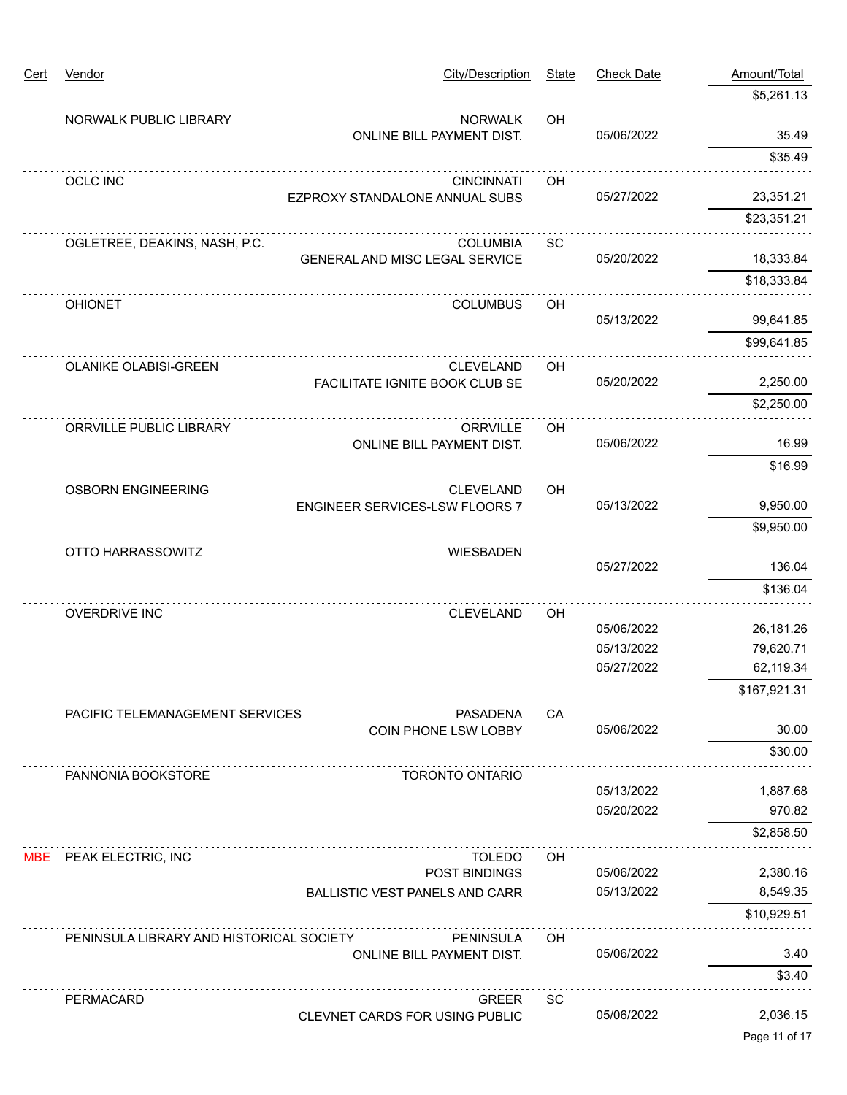| <u>Cert</u> | Vendor                                   | City/Description                                  | <b>State</b> | <b>Check Date</b> | Amount/Total  |
|-------------|------------------------------------------|---------------------------------------------------|--------------|-------------------|---------------|
|             |                                          |                                                   |              |                   | \$5,261.13    |
|             | NORWALK PUBLIC LIBRARY                   | <b>NORWALK</b>                                    | OH           |                   |               |
|             |                                          | ONLINE BILL PAYMENT DIST.                         |              | 05/06/2022        | 35.49         |
|             |                                          |                                                   |              |                   | \$35.49       |
|             | <b>OCLC INC</b>                          | <b>CINCINNATI</b>                                 | OH           | 05/27/2022        | 23,351.21     |
|             |                                          | EZPROXY STANDALONE ANNUAL SUBS                    |              |                   | \$23,351.21   |
|             |                                          |                                                   |              |                   |               |
|             | OGLETREE, DEAKINS, NASH, P.C.            | <b>COLUMBIA</b><br>GENERAL AND MISC LEGAL SERVICE | <b>SC</b>    | 05/20/2022        | 18,333.84     |
|             |                                          |                                                   |              |                   | \$18,333.84   |
|             | <b>OHIONET</b>                           | <b>COLUMBUS</b>                                   | OH           |                   |               |
|             |                                          |                                                   |              | 05/13/2022        | 99,641.85     |
|             |                                          |                                                   |              |                   | \$99,641.85   |
|             | OLANIKE OLABISI-GREEN                    | <b>CLEVELAND</b>                                  | OH           |                   |               |
|             |                                          | FACILITATE IGNITE BOOK CLUB SE                    |              | 05/20/2022        | 2,250.00      |
|             |                                          |                                                   |              |                   | \$2,250.00    |
|             | ORRVILLE PUBLIC LIBRARY                  | <b>ORRVILLE</b>                                   | OH           |                   |               |
|             |                                          | ONLINE BILL PAYMENT DIST.                         |              | 05/06/2022        | 16.99         |
|             |                                          |                                                   |              |                   | \$16.99       |
|             | <b>OSBORN ENGINEERING</b>                | <b>CLEVELAND</b>                                  | OH           |                   |               |
|             |                                          | ENGINEER SERVICES-LSW FLOORS 7                    |              | 05/13/2022        | 9,950.00      |
|             |                                          |                                                   |              |                   | \$9,950.00    |
|             | OTTO HARRASSOWITZ                        | <b>WIESBADEN</b>                                  |              | 05/27/2022        | 136.04        |
|             |                                          |                                                   |              |                   |               |
|             |                                          |                                                   |              |                   | \$136.04      |
|             | <b>OVERDRIVE INC</b>                     | <b>CLEVELAND</b>                                  | OH           | 05/06/2022        | 26,181.26     |
|             |                                          |                                                   |              | 05/13/2022        | 79,620.71     |
|             |                                          |                                                   |              | 05/27/2022        | 62,119.34     |
|             |                                          |                                                   |              |                   | \$167,921.31  |
|             | PACIFIC TELEMANAGEMENT SERVICES          | <b>PASADENA</b>                                   | CА           |                   |               |
|             |                                          | COIN PHONE LSW LOBBY                              |              | 05/06/2022        | 30.00         |
|             |                                          |                                                   |              |                   | \$30.00       |
|             | PANNONIA BOOKSTORE                       | <b>TORONTO ONTARIO</b>                            |              |                   |               |
|             |                                          |                                                   |              | 05/13/2022        | 1,887.68      |
|             |                                          |                                                   |              | 05/20/2022        | 970.82        |
|             |                                          |                                                   |              |                   | \$2,858.50    |
|             | MBE PEAK ELECTRIC, INC                   | <b>TOLEDO</b>                                     | <b>OH</b>    |                   |               |
|             |                                          | POST BINDINGS                                     |              | 05/06/2022        | 2,380.16      |
|             |                                          | <b>BALLISTIC VEST PANELS AND CARR</b>             |              | 05/13/2022        | 8,549.35      |
|             |                                          |                                                   |              |                   | \$10,929.51   |
|             | PENINSULA LIBRARY AND HISTORICAL SOCIETY | <b>PENINSULA</b>                                  | <b>OH</b>    |                   |               |
|             |                                          | ONLINE BILL PAYMENT DIST.                         |              | 05/06/2022        | 3.40          |
|             |                                          |                                                   |              |                   | \$3.40        |
|             | <b>PERMACARD</b>                         | <b>GREER</b>                                      | SC           |                   |               |
|             |                                          | CLEVNET CARDS FOR USING PUBLIC                    |              | 05/06/2022        | 2,036.15      |
|             |                                          |                                                   |              |                   | Page 11 of 17 |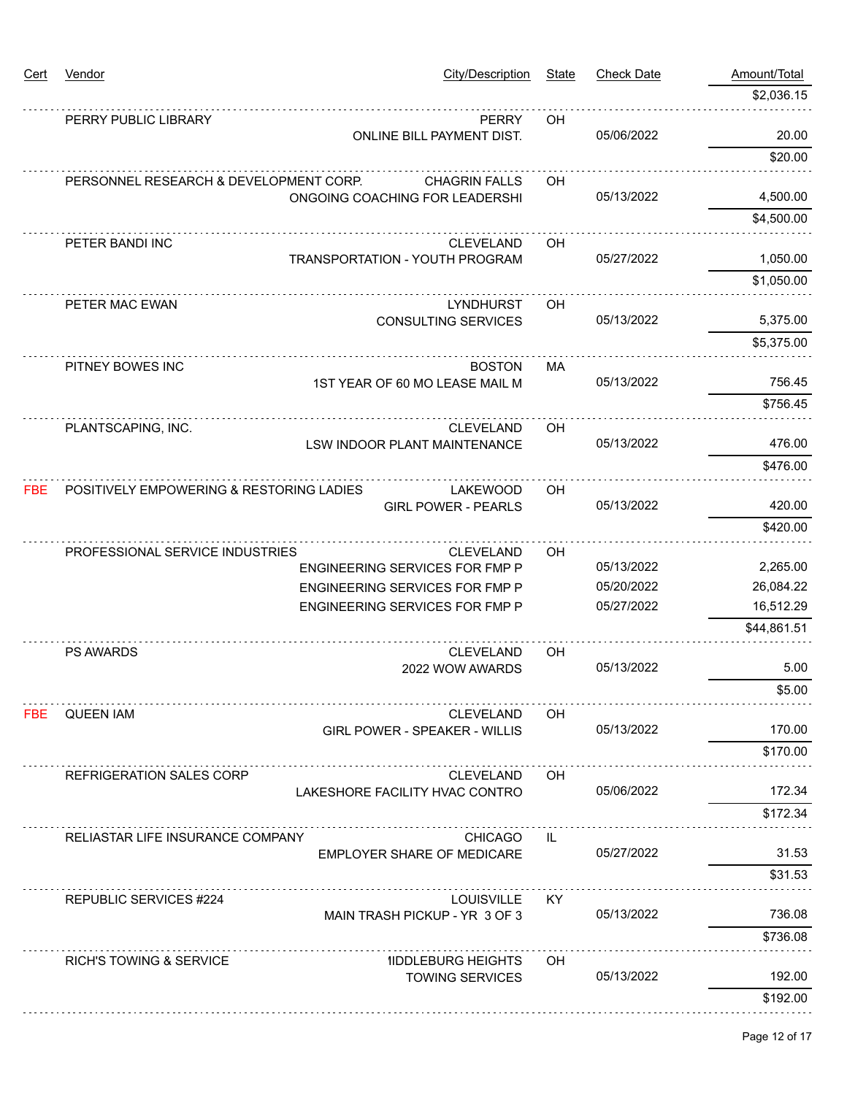| <u>Cert</u> | Vendor                                   | City/Description                                         | <b>State</b> | <b>Check Date</b> | Amount/Total |
|-------------|------------------------------------------|----------------------------------------------------------|--------------|-------------------|--------------|
|             |                                          |                                                          |              |                   | \$2,036.15   |
|             | PERRY PUBLIC LIBRARY                     | <b>PERRY</b>                                             | OH           |                   |              |
|             |                                          | ONLINE BILL PAYMENT DIST.                                |              | 05/06/2022        | 20.00        |
|             |                                          |                                                          |              |                   | \$20.00      |
|             | PERSONNEL RESEARCH & DEVELOPMENT CORP.   | <b>CHAGRIN FALLS</b>                                     | OН           |                   |              |
|             |                                          | ONGOING COACHING FOR LEADERSHI                           |              | 05/13/2022        | 4,500.00     |
|             |                                          |                                                          |              |                   | \$4,500.00   |
|             | PETER BANDI INC                          | <b>CLEVELAND</b>                                         | OH           | 05/27/2022        | 1,050.00     |
|             |                                          | <b>TRANSPORTATION - YOUTH PROGRAM</b>                    |              |                   | \$1,050.00   |
|             |                                          |                                                          |              |                   |              |
|             | PETER MAC EWAN                           | <b>LYNDHURST</b><br><b>CONSULTING SERVICES</b>           | OH           | 05/13/2022        | 5,375.00     |
|             |                                          |                                                          |              |                   | \$5,375.00   |
|             | PITNEY BOWES INC                         | <b>BOSTON</b>                                            | <b>MA</b>    |                   |              |
|             |                                          | 1ST YEAR OF 60 MO LEASE MAIL M                           |              | 05/13/2022        | 756.45       |
|             |                                          |                                                          |              |                   | \$756.45     |
|             | PLANTSCAPING, INC.                       | <b>CLEVELAND</b>                                         | OH           |                   |              |
|             |                                          | LSW INDOOR PLANT MAINTENANCE                             |              | 05/13/2022        | 476.00       |
|             |                                          |                                                          |              |                   | \$476.00     |
| FBE         | POSITIVELY EMPOWERING & RESTORING LADIES | <b>LAKEWOOD</b>                                          | OH           |                   |              |
|             |                                          | <b>GIRL POWER - PEARLS</b>                               |              | 05/13/2022        | 420.00       |
|             |                                          |                                                          |              |                   | \$420.00     |
|             | PROFESSIONAL SERVICE INDUSTRIES          | <b>CLEVELAND</b>                                         | OH           |                   |              |
|             |                                          | ENGINEERING SERVICES FOR FMP P                           |              | 05/13/2022        | 2,265.00     |
|             |                                          | ENGINEERING SERVICES FOR FMP P                           |              | 05/20/2022        | 26,084.22    |
|             |                                          | ENGINEERING SERVICES FOR FMP P                           |              | 05/27/2022        | 16,512.29    |
|             |                                          |                                                          |              |                   | \$44,861.51  |
|             | <b>PS AWARDS</b>                         | <b>CLEVELAND</b>                                         | OH           | 05/13/2022        | 5.00         |
|             |                                          | 2022 WOW AWARDS                                          |              |                   |              |
|             |                                          |                                                          |              |                   | \$5.00       |
| FBE         | QUEEN IAM                                | <b>CLEVELAND</b><br><b>GIRL POWER - SPEAKER - WILLIS</b> | OН           | 05/13/2022        | 170.00       |
|             |                                          |                                                          |              |                   | \$170.00     |
|             |                                          |                                                          |              |                   |              |
|             | <b>REFRIGERATION SALES CORP</b>          | <b>CLEVELAND</b><br>LAKESHORE FACILITY HVAC CONTRO       | OH           | 05/06/2022        | 172.34       |
|             |                                          |                                                          |              |                   | \$172.34     |
|             | RELIASTAR LIFE INSURANCE COMPANY         | <b>CHICAGO</b>                                           | IL           |                   |              |
|             |                                          | EMPLOYER SHARE OF MEDICARE                               |              | 05/27/2022        | 31.53        |
|             |                                          |                                                          |              |                   | \$31.53      |
|             | REPUBLIC SERVICES #224                   | LOUISVILLE                                               | KY.          |                   |              |
|             |                                          | MAIN TRASH PICKUP - YR 3 OF 3                            |              | 05/13/2022        | 736.08       |
|             |                                          |                                                          |              |                   | \$736.08     |
|             | RICH'S TOWING & SERVICE                  | <b>IIDDLEBURG HEIGHTS</b>                                | OН           |                   |              |
|             |                                          | <b>TOWING SERVICES</b>                                   |              | 05/13/2022        | 192.00       |
|             |                                          |                                                          |              |                   | \$192.00     |
|             |                                          |                                                          |              |                   |              |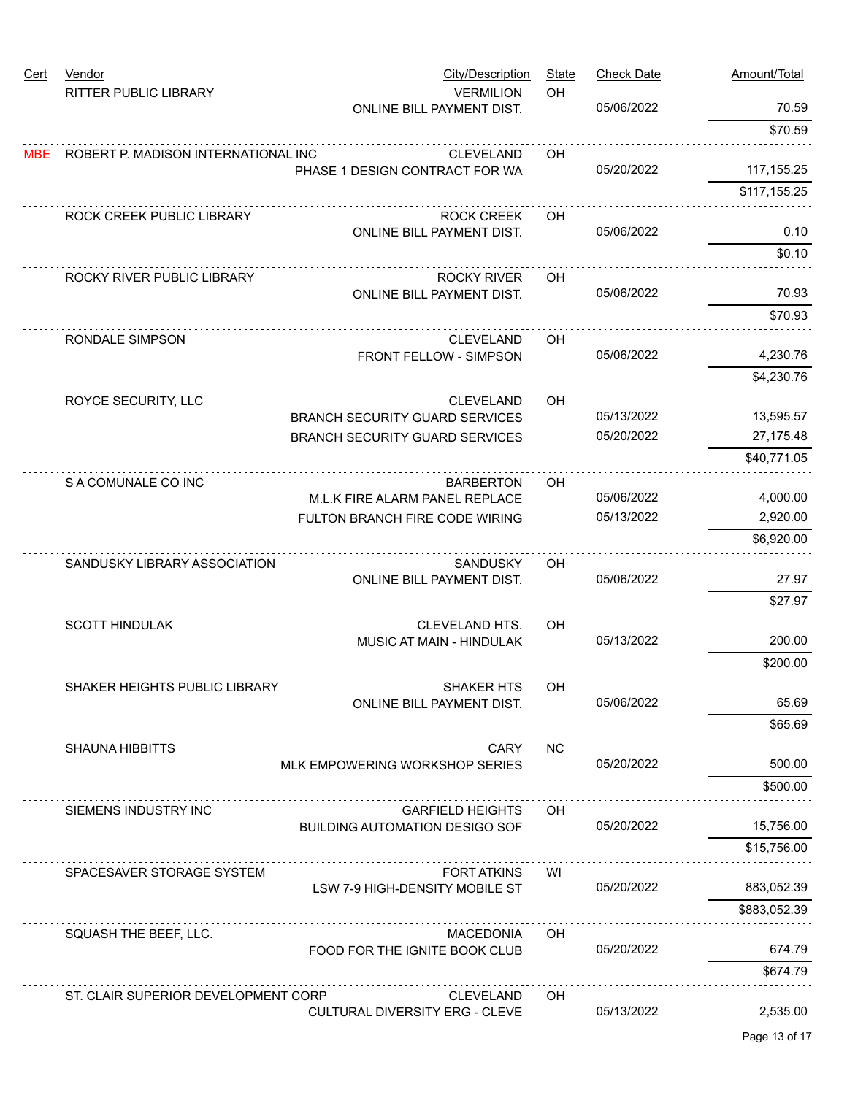| <b>Cert</b> | Vendor<br><b>RITTER PUBLIC LIBRARY</b> | City/Description<br><b>VERMILION</b>                             | <b>State</b><br>OH | <b>Check Date</b>        | Amount/Total         |
|-------------|----------------------------------------|------------------------------------------------------------------|--------------------|--------------------------|----------------------|
|             |                                        | ONLINE BILL PAYMENT DIST.                                        |                    | 05/06/2022               | 70.59                |
|             |                                        |                                                                  |                    |                          | \$70.59              |
| <b>MBE</b>  | ROBERT P. MADISON INTERNATIONAL INC    | <b>CLEVELAND</b>                                                 | OH                 |                          |                      |
|             |                                        | PHASE 1 DESIGN CONTRACT FOR WA                                   |                    | 05/20/2022               | 117, 155.25          |
|             |                                        |                                                                  |                    |                          | \$117,155.25         |
|             | ROCK CREEK PUBLIC LIBRARY              | <b>ROCK CREEK</b>                                                | OН                 |                          |                      |
|             |                                        | <b>ONLINE BILL PAYMENT DIST.</b>                                 |                    | 05/06/2022               | 0.10                 |
|             |                                        |                                                                  |                    |                          | \$0.10               |
|             | ROCKY RIVER PUBLIC LIBRARY             | <b>ROCKY RIVER</b>                                               | OH                 |                          |                      |
|             |                                        | ONLINE BILL PAYMENT DIST.                                        |                    | 05/06/2022               | 70.93                |
|             |                                        |                                                                  |                    |                          | \$70.93              |
|             | RONDALE SIMPSON                        | <b>CLEVELAND</b>                                                 | OH                 |                          |                      |
|             |                                        | FRONT FELLOW - SIMPSON                                           |                    | 05/06/2022               | 4,230.76             |
|             |                                        |                                                                  |                    |                          | \$4,230.76           |
|             | ROYCE SECURITY, LLC                    | <b>CLEVELAND</b>                                                 | OH                 |                          |                      |
|             |                                        | <b>BRANCH SECURITY GUARD SERVICES</b>                            |                    | 05/13/2022               | 13,595.57            |
|             |                                        | <b>BRANCH SECURITY GUARD SERVICES</b>                            |                    | 05/20/2022               | 27, 175.48           |
|             |                                        |                                                                  |                    |                          | \$40,771.05          |
|             | S A COMUNALE CO INC                    | <b>BARBERTON</b>                                                 | OH                 |                          |                      |
|             |                                        | M.L.K FIRE ALARM PANEL REPLACE<br>FULTON BRANCH FIRE CODE WIRING |                    | 05/06/2022<br>05/13/2022 | 4,000.00<br>2,920.00 |
|             |                                        |                                                                  |                    |                          | \$6,920.00           |
|             |                                        |                                                                  |                    |                          |                      |
|             | SANDUSKY LIBRARY ASSOCIATION           | <b>SANDUSKY</b><br>ONLINE BILL PAYMENT DIST.                     | OH.                | 05/06/2022               | 27.97                |
|             |                                        |                                                                  |                    |                          | \$27.97              |
|             |                                        | CLEVELAND HTS.                                                   |                    |                          |                      |
|             | <b>SCOTT HINDULAK</b>                  | MUSIC AT MAIN - HINDULAK                                         | OH                 | 05/13/2022               | 200.00               |
|             |                                        |                                                                  |                    |                          | \$200.00             |
|             | SHAKER HEIGHTS PUBLIC LIBRARY          | <b>SHAKER HIS</b>                                                | ОH                 |                          |                      |
|             |                                        | <b>ONLINE BILL PAYMENT DIST.</b>                                 |                    | 05/06/2022               | 65.69                |
|             |                                        |                                                                  |                    |                          | \$65.69              |
|             | <b>SHAUNA HIBBITTS</b>                 | <b>CARY</b>                                                      | NC.                |                          |                      |
|             |                                        | MLK EMPOWERING WORKSHOP SERIES                                   |                    | 05/20/2022               | 500.00               |
|             |                                        |                                                                  |                    |                          | \$500.00             |
|             | SIEMENS INDUSTRY INC                   | <b>GARFIELD HEIGHTS</b>                                          | OH                 |                          |                      |
|             |                                        | <b>BUILDING AUTOMATION DESIGO SOF</b>                            |                    | 05/20/2022               | 15,756.00            |
|             |                                        |                                                                  |                    |                          | \$15,756.00          |
|             | SPACESAVER STORAGE SYSTEM              | <b>FORT ATKINS</b>                                               | WI                 |                          |                      |
|             |                                        | LSW 7-9 HIGH-DENSITY MOBILE ST                                   |                    | 05/20/2022               | 883,052.39           |
|             |                                        |                                                                  |                    |                          | \$883,052.39         |
|             | SQUASH THE BEEF, LLC.                  | <b>MACEDONIA</b>                                                 | OH                 | 05/20/2022               |                      |
|             |                                        | FOOD FOR THE IGNITE BOOK CLUB                                    |                    |                          | 674.79               |
|             |                                        |                                                                  |                    |                          | \$674.79             |
|             | ST. CLAIR SUPERIOR DEVELOPMENT CORP    | <b>CLEVELAND</b>                                                 | OН                 | 05/13/2022               |                      |
|             |                                        | <b>CULTURAL DIVERSITY ERG - CLEVE</b>                            |                    |                          | 2,535.00             |
|             |                                        |                                                                  |                    |                          | Page 13 of 17        |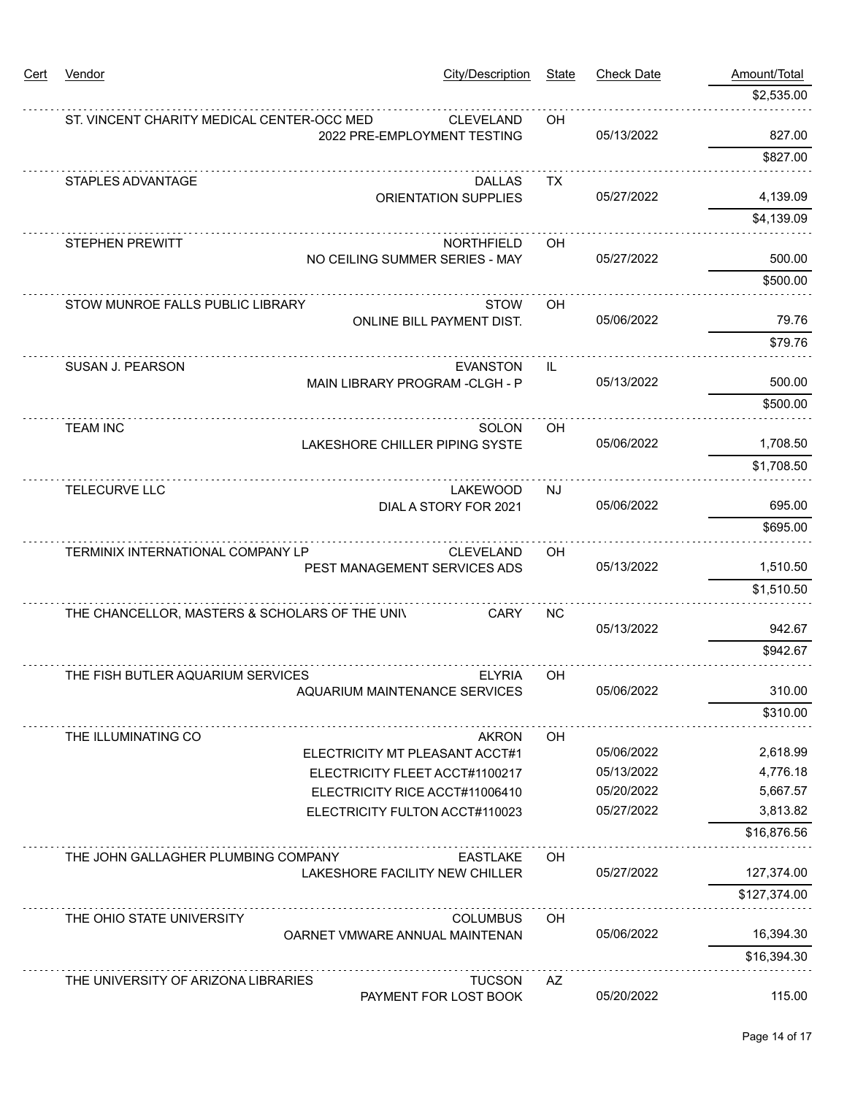| <u>Cert</u> | Vendor                                         | <b>City/Description</b>                             | <b>State</b> | <b>Check Date</b> | Amount/Total |  |
|-------------|------------------------------------------------|-----------------------------------------------------|--------------|-------------------|--------------|--|
|             |                                                |                                                     |              |                   | \$2,535.00   |  |
|             | ST. VINCENT CHARITY MEDICAL CENTER-OCC MED     | <b>CLEVELAND</b>                                    | OH           |                   |              |  |
|             |                                                | 2022 PRE-EMPLOYMENT TESTING                         |              | 05/13/2022        | 827.00       |  |
|             |                                                |                                                     |              |                   | \$827.00     |  |
|             | STAPLES ADVANTAGE                              | <b>DALLAS</b>                                       | <b>TX</b>    |                   |              |  |
|             |                                                | <b>ORIENTATION SUPPLIES</b>                         |              | 05/27/2022        | 4,139.09     |  |
|             |                                                |                                                     |              |                   | \$4,139.09   |  |
|             | <b>STEPHEN PREWITT</b>                         | <b>NORTHFIELD</b><br>NO CEILING SUMMER SERIES - MAY | OH           | 05/27/2022        | 500.00       |  |
|             |                                                |                                                     |              |                   | \$500.00     |  |
|             | STOW MUNROE FALLS PUBLIC LIBRARY               | <b>STOW</b>                                         | OH           |                   |              |  |
|             |                                                | <b>ONLINE BILL PAYMENT DIST.</b>                    |              | 05/06/2022        | 79.76        |  |
|             |                                                |                                                     |              |                   | \$79.76      |  |
|             | SUSAN J. PEARSON                               | <b>EVANSTON</b>                                     | IL.          | 05/13/2022        |              |  |
|             |                                                | MAIN LIBRARY PROGRAM - CLGH - P                     |              |                   | 500.00       |  |
|             |                                                |                                                     |              |                   | \$500.00     |  |
|             | <b>TEAM INC</b>                                | SOLON                                               | OH           |                   |              |  |
|             |                                                | LAKESHORE CHILLER PIPING SYSTE                      |              | 05/06/2022        | 1,708.50     |  |
|             |                                                |                                                     |              |                   | \$1,708.50   |  |
|             | TELECURVE LLC                                  | <b>LAKEWOOD</b><br>DIAL A STORY FOR 2021            | NJ           | 05/06/2022        | 695.00       |  |
|             |                                                |                                                     |              |                   | \$695.00     |  |
|             | TERMINIX INTERNATIONAL COMPANY LP              | <b>CLEVELAND</b>                                    | OH           |                   |              |  |
|             |                                                | PEST MANAGEMENT SERVICES ADS                        |              | 05/13/2022        | 1,510.50     |  |
|             |                                                |                                                     |              |                   | \$1,510.50   |  |
|             | THE CHANCELLOR, MASTERS & SCHOLARS OF THE UNIV | <b>CARY</b>                                         | <b>NC</b>    |                   |              |  |
|             |                                                |                                                     |              | 05/13/2022        | 942.67       |  |
|             |                                                |                                                     |              |                   | \$942.67     |  |
|             | THE FISH BUTLER AQUARIUM SERVICES              | <b>ELYRIA</b>                                       | <b>OH</b>    |                   |              |  |
|             |                                                | AQUARIUM MAINTENANCE SERVICES                       |              | 05/06/2022        | 310.00       |  |
|             |                                                |                                                     |              |                   | \$310.00     |  |
|             | THE ILLUMINATING CO                            | AKRON<br>ELECTRICITY MT PLEASANT ACCT#1             | OH           | 05/06/2022        | 2,618.99     |  |
|             |                                                | ELECTRICITY FLEET ACCT#1100217                      |              | 05/13/2022        | 4,776.18     |  |
|             |                                                | ELECTRICITY RICE ACCT#11006410                      |              | 05/20/2022        | 5,667.57     |  |
|             |                                                | ELECTRICITY FULTON ACCT#110023                      |              | 05/27/2022        | 3,813.82     |  |
|             |                                                |                                                     |              |                   | \$16,876.56  |  |
|             | THE JOHN GALLAGHER PLUMBING COMPANY            | EASTLAKE                                            | OH           |                   |              |  |
|             |                                                | LAKESHORE FACILITY NEW CHILLER                      |              | 05/27/2022        | 127,374.00   |  |
|             |                                                |                                                     |              |                   | \$127,374.00 |  |
|             | THE OHIO STATE UNIVERSITY<br><b>COLUMBUS</b>   |                                                     | OH           |                   |              |  |
|             |                                                | OARNET VMWARE ANNUAL MAINTENAN                      |              | 05/06/2022        | 16,394.30    |  |
|             |                                                |                                                     |              |                   | \$16,394.30  |  |
|             | THE UNIVERSITY OF ARIZONA LIBRARIES            | <b>TUCSON</b><br>PAYMENT FOR LOST BOOK              | AZ           | 05/20/2022        | 115.00       |  |
|             |                                                |                                                     |              |                   |              |  |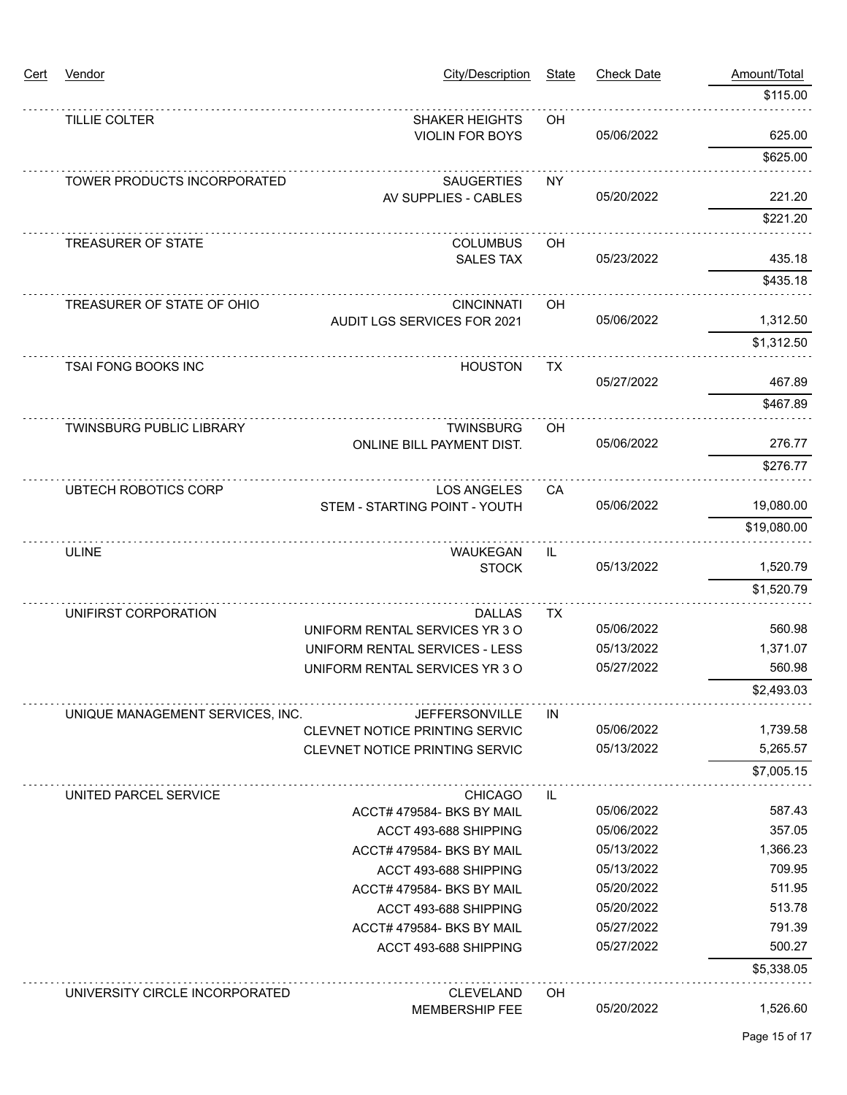| Cert | Vendor                           | City/Description                          | <b>State</b> | <b>Check Date</b> | Amount/Total |
|------|----------------------------------|-------------------------------------------|--------------|-------------------|--------------|
|      |                                  |                                           |              |                   | \$115.00     |
|      | TILLIE COLTER                    | <b>SHAKER HEIGHTS</b>                     | OH           |                   |              |
|      |                                  | <b>VIOLIN FOR BOYS</b>                    |              | 05/06/2022        | 625.00       |
|      |                                  |                                           |              |                   | \$625.00     |
|      | TOWER PRODUCTS INCORPORATED      | <b>SAUGERTIES</b><br>AV SUPPLIES - CABLES | <b>NY</b>    | 05/20/2022        | 221.20       |
|      |                                  |                                           |              |                   | \$221.20     |
|      |                                  |                                           |              |                   |              |
|      | <b>TREASURER OF STATE</b>        | <b>COLUMBUS</b><br><b>SALES TAX</b>       | OH           | 05/23/2022        | 435.18       |
|      |                                  |                                           |              |                   | \$435.18     |
|      | TREASURER OF STATE OF OHIO       | <b>CINCINNATI</b>                         | OH           |                   |              |
|      |                                  | AUDIT LGS SERVICES FOR 2021               |              | 05/06/2022        | 1,312.50     |
|      |                                  |                                           |              |                   | \$1,312.50   |
|      | <b>TSAI FONG BOOKS INC</b>       | <b>HOUSTON</b>                            | <b>TX</b>    |                   |              |
|      |                                  |                                           |              | 05/27/2022        | 467.89       |
|      |                                  |                                           |              |                   | \$467.89     |
|      | <b>TWINSBURG PUBLIC LIBRARY</b>  | <b>TWINSBURG</b>                          | OН           |                   |              |
|      |                                  | ONLINE BILL PAYMENT DIST.                 |              | 05/06/2022        | 276.77       |
|      |                                  |                                           |              |                   | \$276.77     |
|      | <b>UBTECH ROBOTICS CORP</b>      | <b>LOS ANGELES</b>                        | CA           |                   |              |
|      |                                  | STEM - STARTING POINT - YOUTH             |              | 05/06/2022        | 19,080.00    |
|      |                                  |                                           |              |                   | \$19,080.00  |
|      | <b>ULINE</b>                     | <b>WAUKEGAN</b>                           | IL           |                   |              |
|      |                                  | <b>STOCK</b>                              |              | 05/13/2022        | 1,520.79     |
|      |                                  |                                           |              |                   | \$1,520.79   |
|      | UNIFIRST CORPORATION             | <b>DALLAS</b>                             | <b>TX</b>    |                   |              |
|      |                                  | UNIFORM RENTAL SERVICES YR 3 O            |              | 05/06/2022        | 560.98       |
|      |                                  | UNIFORM RENTAL SERVICES - LESS            |              | 05/13/2022        | 1,371.07     |
|      |                                  | UNIFORM RENTAL SERVICES YR 3 O            |              | 05/27/2022        | 560.98       |
|      |                                  |                                           |              |                   | \$2,493.03   |
|      | UNIQUE MANAGEMENT SERVICES, INC. | <b>JEFFERSONVILLE</b>                     | IN.          |                   |              |
|      |                                  | CLEVNET NOTICE PRINTING SERVIC            |              | 05/06/2022        | 1,739.58     |
|      |                                  | CLEVNET NOTICE PRINTING SERVIC            |              | 05/13/2022        | 5,265.57     |
|      |                                  |                                           |              |                   | \$7,005.15   |
|      | UNITED PARCEL SERVICE            | <b>CHICAGO</b>                            | IL           |                   |              |
|      |                                  | ACCT# 479584- BKS BY MAIL                 |              | 05/06/2022        | 587.43       |
|      |                                  | ACCT 493-688 SHIPPING                     |              | 05/06/2022        | 357.05       |
|      |                                  | ACCT# 479584- BKS BY MAIL                 |              | 05/13/2022        | 1,366.23     |
|      |                                  | ACCT 493-688 SHIPPING                     |              | 05/13/2022        | 709.95       |
|      |                                  | ACCT# 479584- BKS BY MAIL                 |              | 05/20/2022        | 511.95       |
|      |                                  | ACCT 493-688 SHIPPING                     |              | 05/20/2022        | 513.78       |
|      |                                  | ACCT# 479584- BKS BY MAIL                 |              | 05/27/2022        | 791.39       |
|      |                                  | ACCT 493-688 SHIPPING                     |              | 05/27/2022        | 500.27       |
|      |                                  |                                           |              |                   | \$5,338.05   |
|      | UNIVERSITY CIRCLE INCORPORATED   | <b>CLEVELAND</b>                          | OН           |                   |              |
|      |                                  | <b>MEMBERSHIP FEE</b>                     |              | 05/20/2022        | 1,526.60     |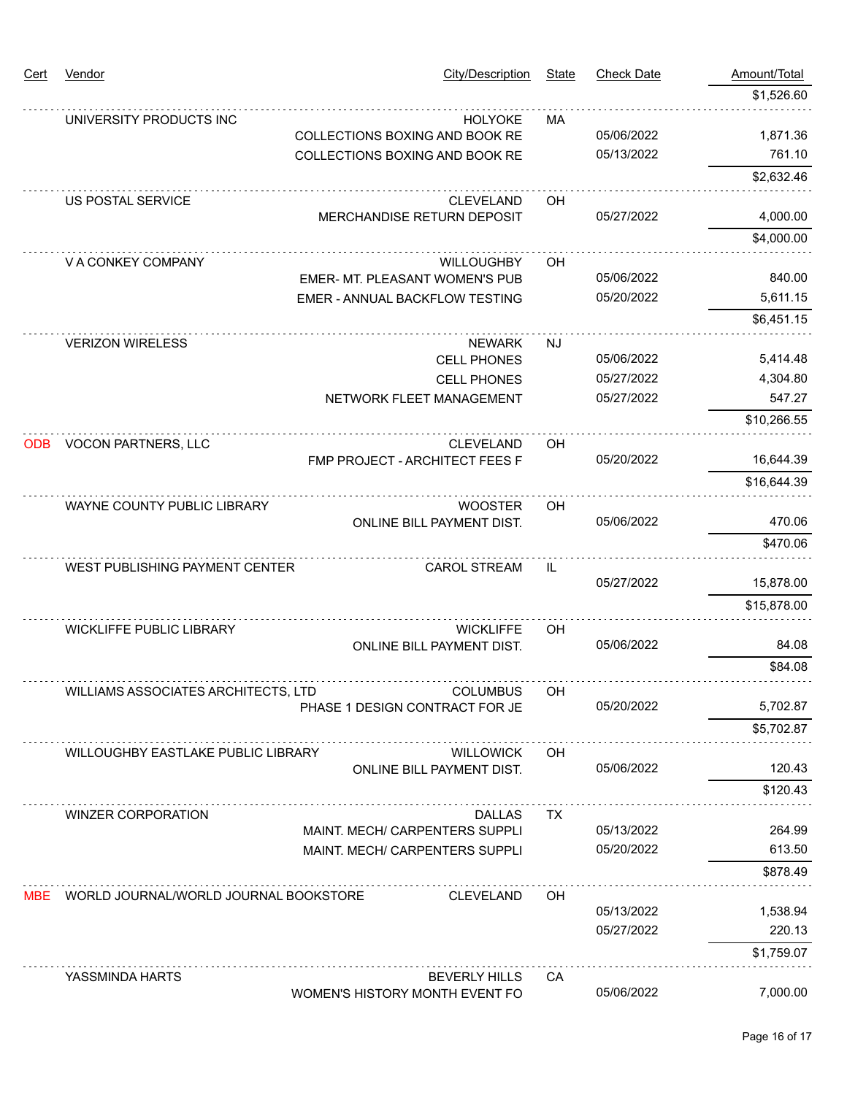| Cert       | Vendor                                    | <b>City/Description</b>                                    | <b>State</b> | <b>Check Date</b> | Amount/Total |
|------------|-------------------------------------------|------------------------------------------------------------|--------------|-------------------|--------------|
|            |                                           |                                                            |              |                   | \$1,526.60   |
|            | UNIVERSITY PRODUCTS INC                   | <b>HOLYOKE</b><br>COLLECTIONS BOXING AND BOOK RE           | MA           | 05/06/2022        | 1,871.36     |
|            |                                           | COLLECTIONS BOXING AND BOOK RE                             |              | 05/13/2022        | 761.10       |
|            |                                           |                                                            |              |                   | \$2,632.46   |
|            | US POSTAL SERVICE                         | <b>CLEVELAND</b><br>MERCHANDISE RETURN DEPOSIT             | OH           | 05/27/2022        | 4,000.00     |
|            |                                           |                                                            |              |                   | \$4,000.00   |
|            | V A CONKEY COMPANY                        | <b>WILLOUGHBY</b><br><b>EMER- MT. PLEASANT WOMEN'S PUB</b> | OH           | 05/06/2022        | 840.00       |
|            |                                           | EMER - ANNUAL BACKFLOW TESTING                             |              | 05/20/2022        | 5,611.15     |
|            |                                           |                                                            |              |                   | \$6,451.15   |
|            | <b>VERIZON WIRELESS</b>                   | <b>NEWARK</b><br><b>CELL PHONES</b>                        | <b>NJ</b>    | 05/06/2022        | 5,414.48     |
|            |                                           | <b>CELL PHONES</b>                                         |              | 05/27/2022        | 4,304.80     |
|            |                                           | NETWORK FLEET MANAGEMENT                                   |              | 05/27/2022        | 547.27       |
|            |                                           |                                                            |              |                   | \$10,266.55  |
| <b>ODB</b> | VOCON PARTNERS, LLC                       | <b>CLEVELAND</b><br>FMP PROJECT - ARCHITECT FEES F         | OH           | 05/20/2022        | 16,644.39    |
|            |                                           |                                                            |              |                   | \$16,644.39  |
|            | WAYNE COUNTY PUBLIC LIBRARY               | <b>WOOSTER</b><br><b>ONLINE BILL PAYMENT DIST.</b>         | OH           | 05/06/2022        | 470.06       |
|            |                                           |                                                            |              |                   | \$470.06     |
|            | WEST PUBLISHING PAYMENT CENTER            | <b>CAROL STREAM</b>                                        | IL           | 05/27/2022        | 15,878.00    |
|            |                                           |                                                            |              |                   | \$15,878.00  |
|            | <b>WICKLIFFE PUBLIC LIBRARY</b>           | <b>WICKLIFFE</b><br>ONLINE BILL PAYMENT DIST.              | OH           | 05/06/2022        | 84.08        |
|            |                                           |                                                            |              |                   | \$84.08      |
|            | WILLIAMS ASSOCIATES ARCHITECTS, LTD       | <b>COLUMBUS</b><br>PHASE 1 DESIGN CONTRACT FOR JE          | OH           | 05/20/2022        | 5,702.87     |
|            |                                           |                                                            |              |                   | \$5,702.87   |
|            | <b>WILLOUGHBY EASTLAKE PUBLIC LIBRARY</b> | <b>WILLOWICK</b><br><b>ONLINE BILL PAYMENT DIST.</b>       | <b>OH</b>    | 05/06/2022        | 120.43       |
|            |                                           |                                                            |              |                   | \$120.43     |
|            | <b>WINZER CORPORATION</b>                 | <b>DALLAS</b><br>MAINT. MECH/ CARPENTERS SUPPLI            | TX.          | 05/13/2022        | 264.99       |
|            |                                           | MAINT. MECH/ CARPENTERS SUPPLI                             |              | 05/20/2022        | 613.50       |
|            |                                           |                                                            |              |                   | \$878.49     |
| MBE.       | WORLD JOURNAL/WORLD JOURNAL BOOKSTORE     | <b>CLEVELAND</b>                                           | OH           | 05/13/2022        | 1,538.94     |
|            |                                           |                                                            |              | 05/27/2022        | 220.13       |
|            |                                           |                                                            |              |                   | \$1,759.07   |
|            | YASSMINDA HARTS                           | <b>BEVERLY HILLS</b><br>WOMEN'S HISTORY MONTH EVENT FO     | CA           | 05/06/2022        | 7,000.00     |